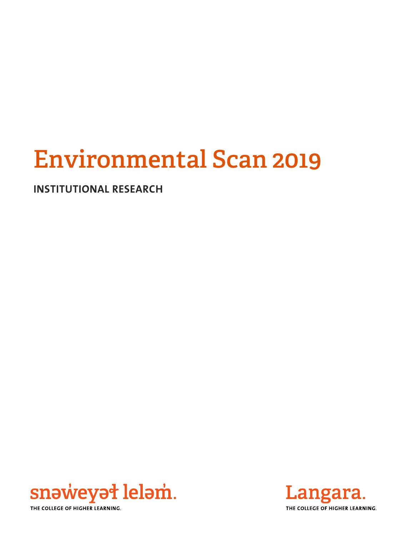# **Environmental Scan 2019**

**INSTITUTIONAL RESEARCH** 



Langara. THE COLLEGE OF HIGHER LEARNING.

THE COLLEGE OF HIGHER LEARNING.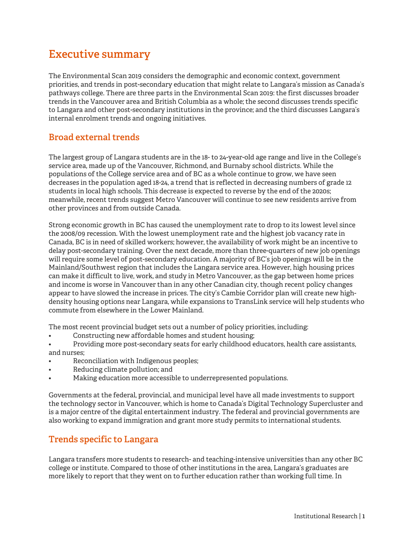# **Executive summary**

The Environmental Scan 2019 considers the demographic and economic context, government priorities, and trends in post-secondary education that might relate to Langara's mission as Canada's pathways college. There are three parts in the Environmental Scan 2019: the first discusses broader trends in the Vancouver area and British Columbia as a whole; the second discusses trends specific to Langara and other post-secondary institutions in the province; and the third discusses Langara's internal enrolment trends and ongoing initiatives.

# **Broad external trends**

The largest group of Langara students are in the 18- to 24-year-old age range and live in the College's service area, made up of the Vancouver, Richmond, and Burnaby school districts. While the populations of the College service area and of BC as a whole continue to grow, we have seen decreases in the population aged 18-24, a trend that is reflected in decreasing numbers of grade 12 students in local high schools. This decrease is expected to reverse by the end of the 2020s; meanwhile, recent trends suggest Metro Vancouver will continue to see new residents arrive from other provinces and from outside Canada.

Strong economic growth in BC has caused the unemployment rate to drop to its lowest level since the 2008/09 recession. With the lowest unemployment rate and the highest job vacancy rate in Canada, BC is in need of skilled workers; however, the availability of work might be an incentive to delay post-secondary training. Over the next decade, more than three-quarters of new job openings will require some level of post-secondary education. A majority of BC's job openings will be in the Mainland/Southwest region that includes the Langara service area. However, high housing prices can make it difficult to live, work, and study in Metro Vancouver, as the gap between home prices and income is worse in Vancouver than in any other Canadian city, though recent policy changes appear to have slowed the increase in prices. The city's Cambie Corridor plan will create new highdensity housing options near Langara, while expansions to TransLink service will help students who commute from elsewhere in the Lower Mainland.

The most recent provincial budget sets out a number of policy priorities, including:

- Constructing new affordable homes and student housing;
- Providing more post-secondary seats for early childhood educators, health care assistants, and nurses;
- Reconciliation with Indigenous peoples;
- Reducing climate pollution; and
- Making education more accessible to underrepresented populations.

Governments at the federal, provincial, and municipal level have all made investments to support the technology sector in Vancouver, which is home to Canada's Digital Technology Supercluster and is a major centre of the digital entertainment industry. The federal and provincial governments are also working to expand immigration and grant more study permits to international students.

# **Trends specific to Langara**

Langara transfers more students to research- and teaching-intensive universities than any other BC college or institute. Compared to those of other institutions in the area, Langara's graduates are more likely to report that they went on to further education rather than working full time. In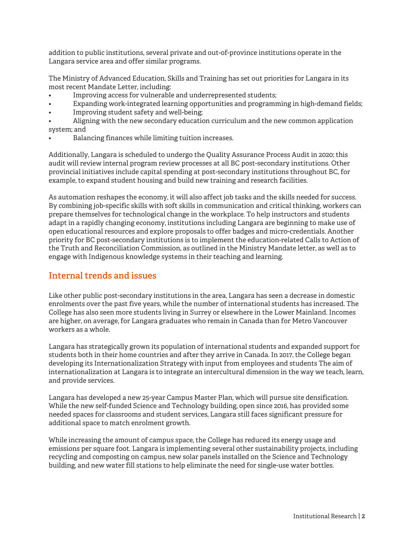addition to public institutions, several private and out-of-province institutions operate in the Langara service area and offer similar programs.

The Ministry of Advanced Education, Skills and Training has set out priorities for Langara in its most recent Mandate Letter, including:

- Improving access for vulnerable and underrepresented students;
- Expanding work-integrated learning opportunities and programming in high-demand fields;
- Improving student safety and well-being;
- Aligning with the new secondary education curriculum and the new common application system; and
- Balancing finances while limiting tuition increases.

Additionally, Langara is scheduled to undergo the Quality Assurance Process Audit in 2020; this audit will review internal program review processes at all BC post-secondary institutions. Other provincial initiatives include capital spending at post-secondary institutions throughout BC, for example, to expand student housing and build new training and research facilities.

As automation reshapes the economy, it will also affect job tasks and the skills needed for success. By combining job-specific skills with soft skills in communication and critical thinking, workers can prepare themselves for technological change in the workplace. To help instructors and students adapt in a rapidly changing economy, institutions including Langara are beginning to make use of open educational resources and explore proposals to offer badges and micro-credentials. Another priority for BC post-secondary institutions is to implement the education-related Calls to Action of the Truth and Reconciliation Commission, as outlined in the Ministry Mandate letter, as well as to engage with Indigenous knowledge systems in their teaching and learning.

#### **Internal trends and issues**

Like other public post-secondary institutions in the area, Langara has seen a decrease in domestic enrolments over the past five years, while the number of international students has increased. The College has also seen more students living in Surrey or elsewhere in the Lower Mainland. Incomes are higher, on average, for Langara graduates who remain in Canada than for Metro Vancouver workers as a whole.

Langara has strategically grown its population of international students and expanded support for students both in their home countries and after they arrive in Canada. In 2017, the College began developing its Internationalization Strategy with input from employees and students The aim of internationalization at Langara is to integrate an intercultural dimension in the way we teach, learn, and provide services.

Langara has developed a new 25-year Campus Master Plan, which will pursue site densification. While the new self-funded Science and Technology building, open since 2016, has provided some needed spaces for classrooms and student services, Langara still faces significant pressure for additional space to match enrolment growth.

While increasing the amount of campus space, the College has reduced its energy usage and emissions per square foot. Langara is implementing several other sustainability projects, including recycling and composting on campus, new solar panels installed on the Science and Technology building, and new water fill stations to help eliminate the need for single-use water bottles.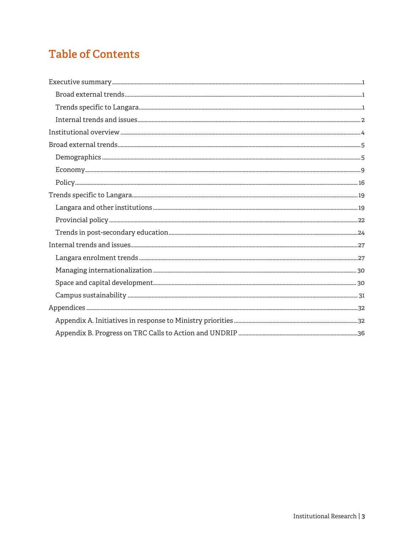# **Table of Contents**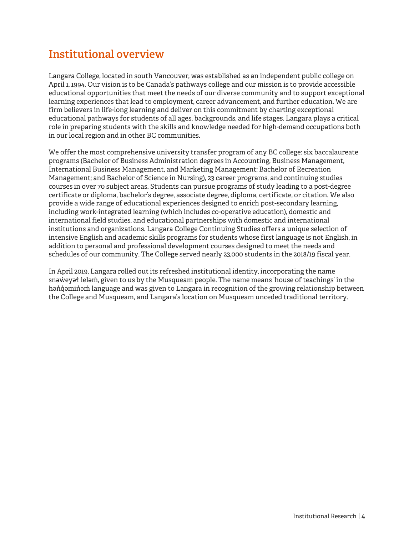# **Institutional overview**

Langara College, located in south Vancouver, was established as an independent public college on April 1, 1994. Our vision is to be Canada's pathways college and our mission is to provide accessible educational opportunities that meet the needs of our diverse community and to support exceptional learning experiences that lead to employment, career advancement, and further education. We are firm believers in life-long learning and deliver on this commitment by charting exceptional educational pathways for students of all ages, backgrounds, and life stages. Langara plays a critical role in preparing students with the skills and knowledge needed for high-demand occupations both in our local region and in other BC communities.

We offer the most comprehensive university transfer program of any BC college: six baccalaureate programs (Bachelor of Business Administration degrees in Accounting, Business Management, International Business Management, and Marketing Management; Bachelor of Recreation Management; and Bachelor of Science in Nursing), 23 career programs, and continuing studies courses in over 70 subject areas. Students can pursue programs of study leading to a post-degree certificate or diploma, bachelor's degree, associate degree, diploma, certificate, or citation. We also provide a wide range of educational experiences designed to enrich post-secondary learning, including work-integrated learning (which includes co-operative education), domestic and international field studies, and educational partnerships with domestic and international institutions and organizations. Langara College Continuing Studies offers a unique selection of intensive English and academic skills programs for students whose first language is not English, in addition to personal and professional development courses designed to meet the needs and schedules of our community. The College served nearly 23,000 students in the 2018/19 fiscal year.

In April 2019, Langara rolled out its refreshed institutional identity, incorporating the name snəweyəɬ leləm, given to us by the Musqueam people. The name means 'house of teachings' in the həndəminəm language and was given to Langara in recognition of the growing relationship between the College and Musqueam, and Langara's location on Musqueam unceded traditional territory.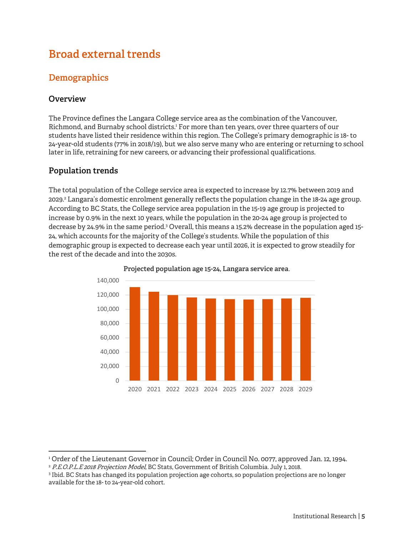# **Broad external trends**

# **Demographics**

#### **Overview**

-

The Province defines the Langara College service area as the combination of the Vancouver, Richmond, and Burnaby school districts.1 For more than ten years, over three quarters of our students have listed their residence within this region. The College's primary demographic is 18- to 24-year-old students (77% in 2018/19), but we also serve many who are entering or returning to school later in life, retraining for new careers, or advancing their professional qualifications.

## **Population trends**

The total population of the College service area is expected to increase by 12.7% between 2019 and 2029.<sup>2</sup> Langara's domestic enrolment generally reflects the population change in the 18-24 age group. According to BC Stats, the College service area population in the 15-19 age group is projected to increase by 0.9% in the next 10 years, while the population in the 20-24 age group is projected to decrease by 24.9% in the same period.<sup>3</sup> Overall, this means a 15.2% decrease in the population aged 15-24, which accounts for the majority of the College's students. While the population of this demographic group is expected to decrease each year until 2026, it is expected to grow steadily for the rest of the decade and into the 2030s.



**Projected population age 15-24, Langara service area.**

<sup>&</sup>lt;sup>1</sup> Order of the Lieutenant Governor in Council; Order in Council No. 0077, approved Jan. 12, 1994.<br><sup>2</sup> *P.E.O.P.L.E 2018 Projection Model*, BC Stats, Government of British Columbia. July 1, 2018.<br><sup>3</sup> Ibid. BC Stats has ch

<sup>&</sup>lt;sup>3</sup> Ibid. BC Stats has changed its population projection age cohorts, so population projections are no longer available for the 18- to 24-year-old cohort.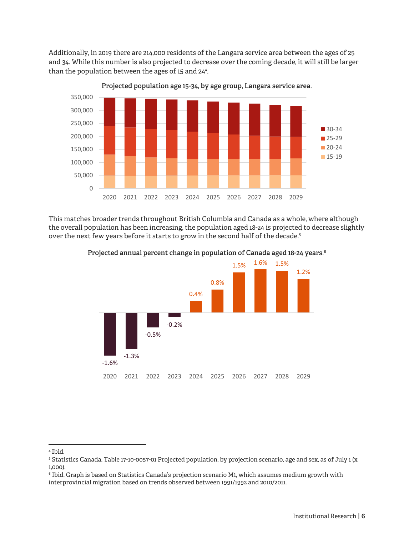Additionally, in 2019 there are 214,000 residents of the Langara service area between the ages of 25 and 34. While this number is also projected to decrease over the coming decade, it will still be larger than the population between the ages of 15 and 24<sup>4</sup>.



**Projected population age 15-34, by age group, Langara service area.**

This matches broader trends throughout British Columbia and Canada as a whole, where although the overall population has been increasing, the population aged 18-24 is projected to decrease slightly over the next few years before it starts to grow in the second half of the decade.<sup>5</sup>



**Projected annual percent change in population of Canada aged 18-24 years.6**

<sup>4</sup> Ibid.

<sup>5</sup> Statistics Canada, Table 17-10-0057-01 Projected population, by projection scenario, age and sex, as of July 1 (x 1,000).

 $^{\rm 6}$  Ibid. Graph is based on Statistics Canada's projection scenario M1, which assumes medium growth with interprovincial migration based on trends observed between 1991/1992 and 2010/2011.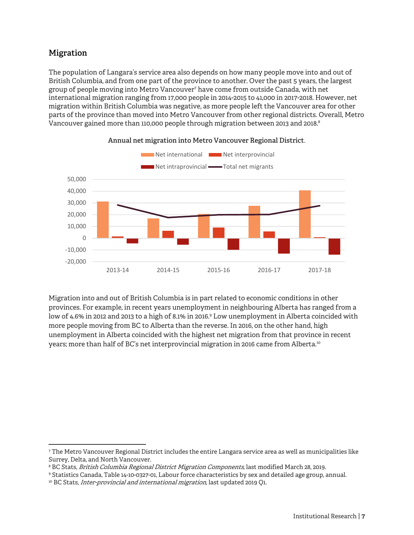## **Migration**

-

The population of Langara's service area also depends on how many people move into and out of British Columbia, and from one part of the province to another. Over the past 5 years, the largest group of people moving into Metro Vancouver7 have come from outside Canada, with net international migration ranging from 17,000 people in 2014-2015 to 41,000 in 2017-2018. However, net migration within British Columbia was negative, as more people left the Vancouver area for other parts of the province than moved into Metro Vancouver from other regional districts. Overall, Metro Vancouver gained more than 110,000 people through migration between 2013 and 2018.<sup>8</sup>



**Annual net migration into Metro Vancouver Regional District.** 

Migration into and out of British Columbia is in part related to economic conditions in other provinces. For example, in recent years unemployment in neighbouring Alberta has ranged from a low of 4.6% in 2012 and 2013 to a high of 8.1% in 2016.<sup>9</sup> Low unemployment in Alberta coincided with more people moving from BC to Alberta than the reverse. In 2016, on the other hand, high unemployment in Alberta coincided with the highest net migration from that province in recent years; more than half of BC's net interprovincial migration in 2016 came from Alberta.10

<sup>7</sup> The Metro Vancouver Regional District includes the entire Langara service area as well as municipalities like Surrey, Delta, and North Vancouver.

<sup>&</sup>lt;sup>8</sup> BC Stats, *British Columbia Regional District Migration Components*, last modified March 28, 2019.

<sup>&</sup>lt;sup>9</sup> Statistics Canada, Table 14-10-0327-01, Labour force characteristics by sex and detailed age group, annual.<br><sup>10</sup> BC Stats, *Inter-provincial and international migration*, last updated 2019 Q1.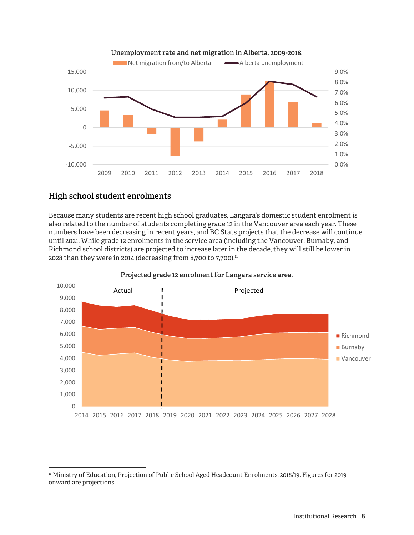

#### **High school student enrolments**

-

onward are projections.

Because many students are recent high school graduates, Langara's domestic student enrolment is also related to the number of students completing grade 12 in the Vancouver area each year. These numbers have been decreasing in recent years, and BC Stats projects that the decrease will continue until 2021. While grade 12 enrolments in the service area (including the Vancouver, Burnaby, and Richmond school districts) are projected to increase later in the decade, they will still be lower in 2028 than they were in 2014 (decreasing from 8,700 to 7,700).<sup>11</sup>



11 Ministry of Education, Projection of Public School Aged Headcount Enrolments, 2018/19. Figures for 2019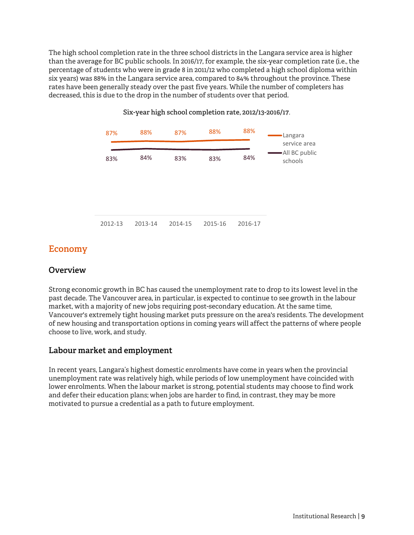The high school completion rate in the three school districts in the Langara service area is higher than the average for BC public schools. In 2016/17, for example, the six-year completion rate (i.e., the percentage of students who were in grade 8 in 2011/12 who completed a high school diploma within six years) was 88% in the Langara service area, compared to 84% throughout the province. These rates have been generally steady over the past five years. While the number of completers has decreased, this is due to the drop in the number of students over that period.



#### **Six-year high school completion rate, 2012/13-2016/17.**

#### **Economy**

#### **Overview**

Strong economic growth in BC has caused the unemployment rate to drop to its lowest level in the past decade. The Vancouver area, in particular, is expected to continue to see growth in the labour market, with a majority of new jobs requiring post-secondary education. At the same time, Vancouver's extremely tight housing market puts pressure on the area's residents. The development of new housing and transportation options in coming years will affect the patterns of where people choose to live, work, and study.

#### **Labour market and employment**

In recent years, Langara's highest domestic enrolments have come in years when the provincial unemployment rate was relatively high, while periods of low unemployment have coincided with lower enrolments. When the labour market is strong, potential students may choose to find work and defer their education plans; when jobs are harder to find, in contrast, they may be more motivated to pursue a credential as a path to future employment.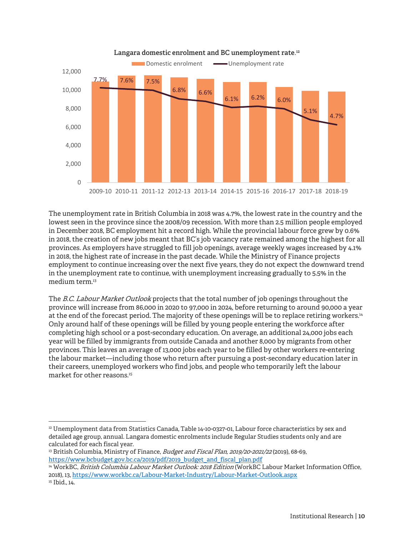

**Langara domestic enrolment and BC unemployment rate.12**

The unemployment rate in British Columbia in 2018 was 4.7%, the lowest rate in the country and the lowest seen in the province since the 2008/09 recession. With more than 2.5 million people employed in December 2018, BC employment hit a record high. While the provincial labour force grew by 0.6% in 2018, the creation of new jobs meant that BC's job vacancy rate remained among the highest for all provinces. As employers have struggled to fill job openings, average weekly wages increased by 4.1% in 2018, the highest rate of increase in the past decade. While the Ministry of Finance projects employment to continue increasing over the next five years, they do not expect the downward trend in the unemployment rate to continue, with unemployment increasing gradually to 5.5% in the medium term.<sup>13</sup>

The B.C. Labour Market Outlook projects that the total number of job openings throughout the province will increase from 86,000 in 2020 to 97,000 in 2024, before returning to around 90,000 a year at the end of the forecast period. The majority of these openings will be to replace retiring workers.<sup>14</sup> Only around half of these openings will be filled by young people entering the workforce after completing high school or a post-secondary education. On average, an additional 24,000 jobs each year will be filled by immigrants from outside Canada and another 8,000 by migrants from other provinces. This leaves an average of 13,000 jobs each year to be filled by other workers re-entering the labour market—including those who return after pursuing a post-secondary education later in their careers, unemployed workers who find jobs, and people who temporarily left the labour market for other reasons  $15$ 

<sup>&</sup>lt;sup>12</sup> Unemployment data from Statistics Canada, Table 14-10-0327-01, Labour force characteristics by sex and detailed age group, annual. Langara domestic enrolments include Regular Studies students only and are calculated for each fiscal year.

<sup>&</sup>lt;sup>13</sup> British Columbia, Ministry of Finance, *Budget and Fiscal Plan, 2019/20-2021/22* (2019), 68-69, https://www.bcbudget.gov.bc.ca/2019/pdf/2019\_budget\_and\_fiscal\_plan.pdf

<sup>14</sup> WorkBC, British Columbia Labour Market Outlook: 2018 Edition (WorkBC Labour Market Information Office, 2018), 13, https://www.workbc.ca/Labour-Market-Industry/Labour-Market-Outlook.aspx <sup>15</sup> Ibid., 14.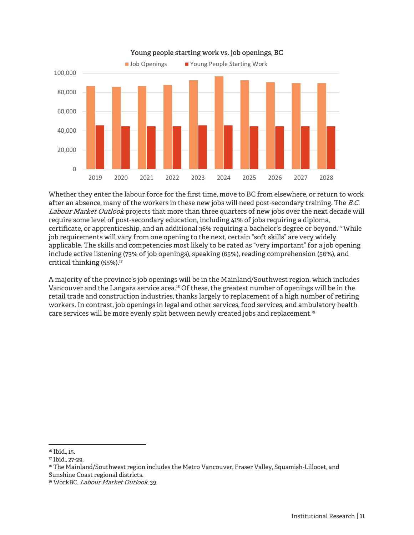

**Young people starting work vs. job openings, BC** 

Whether they enter the labour force for the first time, move to BC from elsewhere, or return to work after an absence, many of the workers in these new jobs will need post-secondary training. The B.C. Labour Market Outlook projects that more than three quarters of new jobs over the next decade will require some level of post-secondary education, including 41% of jobs requiring a diploma, certificate, or apprenticeship, and an additional 36% requiring a bachelor's degree or beyond.16 While job requirements will vary from one opening to the next, certain "soft skills" are very widely applicable. The skills and competencies most likely to be rated as "very important" for a job opening include active listening (73% of job openings), speaking (65%), reading comprehension (56%), and critical thinking  $(55%)$ .<sup>17</sup>

A majority of the province's job openings will be in the Mainland/Southwest region, which includes Vancouver and the Langara service area.18 Of these, the greatest number of openings will be in the retail trade and construction industries, thanks largely to replacement of a high number of retiring workers. In contrast, job openings in legal and other services, food services, and ambulatory health care services will be more evenly split between newly created jobs and replacement.19

-

<sup>&</sup>lt;sup>16</sup> Ibid., 15.

<sup>&</sup>lt;sup>17</sup> Ibid., 27-29.

<sup>&</sup>lt;sup>18</sup> The Mainland/Southwest region includes the Metro Vancouver, Fraser Valley, Squamish-Lillooet, and Sunshine Coast regional districts.

<sup>&</sup>lt;sup>19</sup> WorkBC, *Labour Market Outlook*, 39.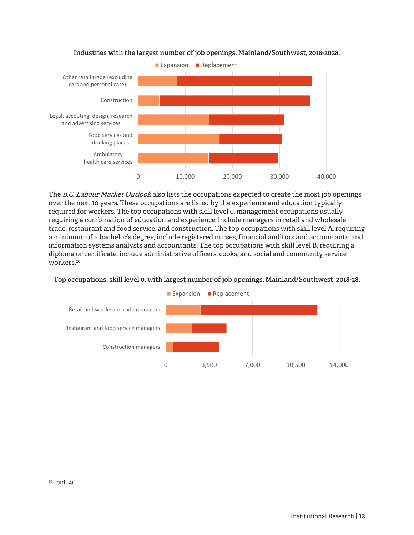

#### **Industries with the largest number of job openings, Mainland/Southwest, 2018-2028.**

The B.C. Labour Market Outlook also lists the occupations expected to create the most job openings over the next 10 years. These occupations are listed by the experience and education typically required for workers. The top occupations with skill level 0, management occupations usually requiring a combination of education and experience, include managers in retail and wholesale trade, restaurant and food service, and construction. The top occupations with skill level A, requiring a minimum of a bachelor's degree, include registered nurses, financial auditors and accountants, and information systems analysts and accountants. The top occupations with skill level B, requiring a diploma or certificate, include administrative officers, cooks, and social and community service workers.20

#### **Top occupations, skill level 0, with largest number of job openings, Mainland/Southwest, 2018-28.**

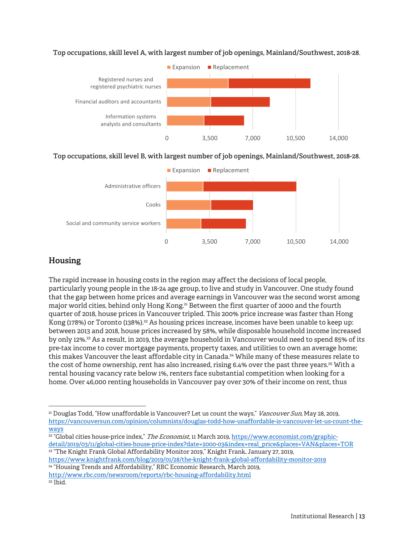

**Top occupations, skill level A, with largest number of job openings, Mainland/Southwest, 2018-28.** 

#### **Top occupations, skill level B, with largest number of job openings, Mainland/Southwest, 2018-28.**



## **Housing**

 $\overline{a}$ 

The rapid increase in housing costs in the region may affect the decisions of local people, particularly young people in the 18-24 age group, to live and study in Vancouver. One study found that the gap between home prices and average earnings in Vancouver was the second worst among major world cities, behind only Hong Kong.<sup>21</sup> Between the first quarter of 2000 and the fourth quarter of 2018, house prices in Vancouver tripled. This 200% price increase was faster than Hong Kong (178%) or Toronto (138%).<sup>22</sup> As housing prices increase, incomes have been unable to keep up: between 2013 and 2018, house prices increased by 58%, while disposable household income increased by only 12%.23 As a result, in 2019, the average household in Vancouver would need to spend 85% of its pre-tax income to cover mortgage payments, property taxes, and utilities to own an average home; this makes Vancouver the least affordable city in Canada.<sup>24</sup> While many of these measures relate to the cost of home ownership, rent has also increased, rising 6.4% over the past three years.<sup>25</sup> With a rental housing vacancy rate below 1%, renters face substantial competition when looking for a home. Over 46,000 renting households in Vancouver pay over 30% of their income on rent, thus

https://www.knightfrank.com/blog/2019/01/28/the-knight-frank-global-affordability-monitor-2019 <sup>24</sup> "Housing Trends and Affordability," RBC Economic Research, March 2019,

<sup>&</sup>lt;sup>21</sup> Douglas Todd, "How unaffordable is Vancouver? Let us count the ways," *Vancouver Sun*, May 28, 2019, https://vancouversun.com/opinion/columnists/douglas-todd-how-unaffordable-is-vancouver-let-us-count-theways

<sup>&</sup>lt;sup>22</sup> "Global cities house-price index," The Economist, 11 March 2019, https://www.economist.com/graphicdetail/2019/03/11/global-cities-house-price-index?date=2000-03&index=real\_price&places=VAN&places=TOR <sup>23</sup> "The Knight Frank Global Affordability Monitor 2019," Knight Frank, January 27, 2019,

http://www.rbc.com/newsroom/reports/rbc-housing-affordability.html 25 Ibid.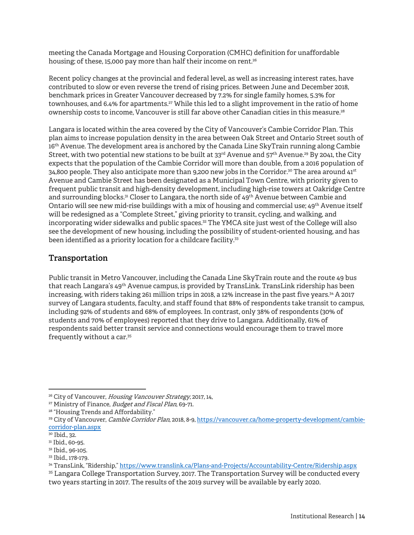meeting the Canada Mortgage and Housing Corporation (CMHC) definition for unaffordable housing; of these, 15,000 pay more than half their income on rent.<sup>26</sup>

Recent policy changes at the provincial and federal level, as well as increasing interest rates, have contributed to slow or even reverse the trend of rising prices. Between June and December 2018, benchmark prices in Greater Vancouver decreased by 7.2% for single family homes, 5.3% for townhouses, and 6.4% for apartments.<sup>27</sup> While this led to a slight improvement in the ratio of home ownership costs to income, Vancouver is still far above other Canadian cities in this measure.<sup>28</sup>

Langara is located within the area covered by the City of Vancouver's Cambie Corridor Plan. This plan aims to increase population density in the area between Oak Street and Ontario Street south of 16th Avenue. The development area is anchored by the Canada Line SkyTrain running along Cambie Street, with two potential new stations to be built at  $33<sup>rd</sup>$  Avenue and  $57<sup>th</sup>$  Avenue.<sup>29</sup> By 2041, the City expects that the population of the Cambie Corridor will more than double, from a 2016 population of 34,800 people. They also anticipate more than 9,200 new jobs in the Corridor.<sup>30</sup> The area around  $41<sup>st</sup>$ Avenue and Cambie Street has been designated as a Municipal Town Centre, with priority given to frequent public transit and high-density development, including high-rise towers at Oakridge Centre and surrounding blocks.<sup>31</sup> Closer to Langara, the north side of 49<sup>th</sup> Avenue between Cambie and Ontario will see new mid-rise buildings with a mix of housing and commercial use; 49th Avenue itself will be redesigned as a "Complete Street," giving priority to transit, cycling, and walking, and incorporating wider sidewalks and public spaces.<sup>32</sup> The YMCA site just west of the College will also see the development of new housing, including the possibility of student-oriented housing, and has been identified as a priority location for a childcare facility.<sup>33</sup>

#### **Transportation**

Public transit in Metro Vancouver, including the Canada Line SkyTrain route and the route 49 bus that reach Langara's 49<sup>th</sup> Avenue campus, is provided by TransLink. TransLink ridership has been increasing, with riders taking 261 million trips in 2018, a 12% increase in the past five years.<sup>34</sup> A 2017 survey of Langara students, faculty, and staff found that 88% of respondents take transit to campus, including 92% of students and 68% of employees. In contrast, only 38% of respondents (30% of students and 70% of employees) reported that they drive to Langara. Additionally, 61% of respondents said better transit service and connections would encourage them to travel more frequently without a car.35

<sup>&</sup>lt;sup>26</sup> City of Vancouver, *Housing Vancouver Strategy*, 2017, 14, <sup>27</sup> Ministry of Finance, *Budget and Fiscal Plan*, 69-71.<br><sup>28</sup> "Housing Trends and Affordability."

<sup>&</sup>lt;sup>29</sup> City of Vancouver, *Cambie Corridor Plan*, 2018, 8-9, https://vancouver.ca/home-property-development/cambiecorridor-plan.aspx

<sup>30</sup> Ibid., 32.

<sup>&</sup>lt;sup>31</sup> Ibid., 60-95.

<sup>32</sup> Ibid., 96-105.

<sup>33</sup> Ibid., 178-179.

<sup>34</sup> TransLink, "Ridership," https://www.translink.ca/Plans-and-Projects/Accountability-Centre/Ridership.aspx

<sup>35</sup> Langara College Transportation Survey, 2017. The Transportation Survey will be conducted every two years starting in 2017. The results of the 2019 survey will be available by early 2020.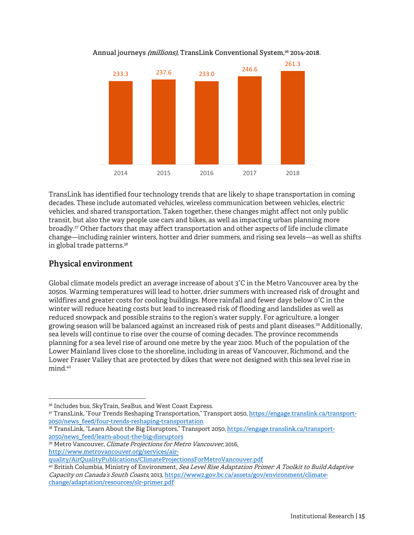

Annual journeys *(millions)*, TransLink Conventional System,<sup>36</sup> 2014-2018.

TransLink has identified four technology trends that are likely to shape transportation in coming decades. These include automated vehicles, wireless communication between vehicles, electric vehicles, and shared transportation. Taken together, these changes might affect not only public transit, but also the way people use cars and bikes, as well as impacting urban planning more broadly.37 Other factors that may affect transportation and other aspects of life include climate change—including rainier winters, hotter and drier summers, and rising sea levels—as well as shifts in global trade patterns.<sup>38</sup>

## **Physical environment**

 $\overline{a}$ 

Global climate models predict an average increase of about 3°C in the Metro Vancouver area by the 2050s. Warming temperatures will lead to hotter, drier summers with increased risk of drought and wildfires and greater costs for cooling buildings. More rainfall and fewer days below 0°C in the winter will reduce heating costs but lead to increased risk of flooding and landslides as well as reduced snowpack and possible strains to the region's water supply. For agriculture, a longer growing season will be balanced against an increased risk of pests and plant diseases.39 Additionally, sea levels will continue to rise over the course of coming decades. The province recommends planning for a sea level rise of around one metre by the year 2100. Much of the population of the Lower Mainland lives close to the shoreline, including in areas of Vancouver, Richmond, and the Lower Fraser Valley that are protected by dikes that were not designed with this sea level rise in mind.40

<sup>36</sup> Includes bus, SkyTrain, SeaBus, and West Coast Express.

<sup>37</sup> TransLink, "Four Trends Reshaping Transportation," Transport 2050, https://engage.translink.ca/transport-2050/news\_feed/four-trends-reshaping-transportation

<sup>38</sup> TransLink, "Learn About the Big Disruptors," Transport 2050, https://engage.translink.ca/transport-2050/news\_feed/learn-about-the-big-disruptors

<sup>&</sup>lt;sup>39</sup> Metro Vancouver, *Climate Projections for Metro Vancouver*, 2016, http://www.metrovancouver.org/services/air-

quality/AirQualityPublications/ClimateProjectionsForMetroVancouver.pdf

<sup>&</sup>lt;sup>40</sup> British Columbia, Ministry of Environment, *Sea Level Rise Adaptation Primer: A Toolkit to Build Adaptive* Capacity on Canada's South Coasts, 2013, https://www2.gov.bc.ca/assets/gov/environment/climatechange/adaptation/resources/slr-primer.pdf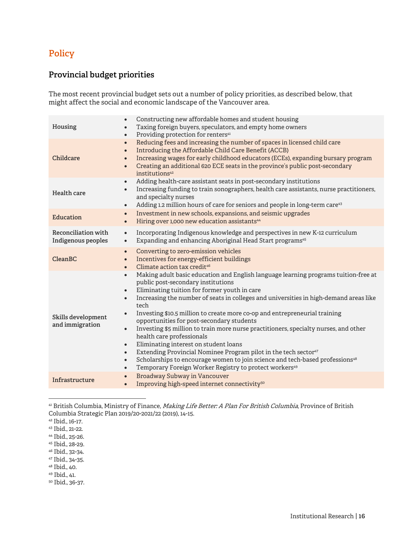# **Policy**

## **Provincial budget priorities**

The most recent provincial budget sets out a number of policy priorities, as described below, that might affect the social and economic landscape of the Vancouver area.

| Housing                                   | Constructing new affordable homes and student housing<br>$\bullet$<br>Taxing foreign buyers, speculators, and empty home owners<br>Providing protection for renters <sup>41</sup><br>$\bullet$                                                                                                                                                                                                                                                                                                                                                                                                                                                                                                                                                                                                                                                                                                                                            |
|-------------------------------------------|-------------------------------------------------------------------------------------------------------------------------------------------------------------------------------------------------------------------------------------------------------------------------------------------------------------------------------------------------------------------------------------------------------------------------------------------------------------------------------------------------------------------------------------------------------------------------------------------------------------------------------------------------------------------------------------------------------------------------------------------------------------------------------------------------------------------------------------------------------------------------------------------------------------------------------------------|
| Childcare                                 | Reducing fees and increasing the number of spaces in licensed child care<br>$\bullet$<br>Introducing the Affordable Child Care Benefit (ACCB)<br>$\bullet$<br>Increasing wages for early childhood educators (ECEs), expanding bursary program<br>$\bullet$<br>Creating an additional 620 ECE seats in the province's public post-secondary<br>$\bullet$<br>institutions <sup>42</sup>                                                                                                                                                                                                                                                                                                                                                                                                                                                                                                                                                    |
| Health care                               | Adding health-care assistant seats in post-secondary institutions<br>$\bullet$<br>Increasing funding to train sonographers, health care assistants, nurse practitioners,<br>$\bullet$<br>and specialty nurses<br>Adding 1.2 million hours of care for seniors and people in long-term care <sup>43</sup><br>$\bullet$                                                                                                                                                                                                                                                                                                                                                                                                                                                                                                                                                                                                                     |
| Education                                 | Investment in new schools, expansions, and seismic upgrades<br>$\bullet$<br>Hiring over 1,000 new education assistants <sup>44</sup><br>$\bullet$                                                                                                                                                                                                                                                                                                                                                                                                                                                                                                                                                                                                                                                                                                                                                                                         |
| Reconciliation with<br>Indigenous peoples | Incorporating Indigenous knowledge and perspectives in new K-12 curriculum<br>$\bullet$<br>Expanding and enhancing Aboriginal Head Start programs <sup>45</sup><br>$\bullet$                                                                                                                                                                                                                                                                                                                                                                                                                                                                                                                                                                                                                                                                                                                                                              |
| Clean <sub>BC</sub>                       | Converting to zero-emission vehicles<br>$\bullet$<br>Incentives for energy-efficient buildings<br>$\bullet$<br>Climate action tax credit <sup>46</sup><br>$\bullet$                                                                                                                                                                                                                                                                                                                                                                                                                                                                                                                                                                                                                                                                                                                                                                       |
| Skills development<br>and immigration     | Making adult basic education and English language learning programs tuition-free at<br>$\bullet$<br>public post-secondary institutions<br>Eliminating tuition for former youth in care<br>$\bullet$<br>Increasing the number of seats in colleges and universities in high-demand areas like<br>$\bullet$<br>tech<br>Investing \$10.5 million to create more co-op and entrepreneurial training<br>$\bullet$<br>opportunities for post-secondary students<br>Investing \$5 million to train more nurse practitioners, specialty nurses, and other<br>$\bullet$<br>health care professionals<br>Eliminating interest on student loans<br>$\bullet$<br>Extending Provincial Nominee Program pilot in the tech sector <sup>47</sup><br>$\bullet$<br>Scholarships to encourage women to join science and tech-based professions <sup>48</sup><br>$\bullet$<br>Temporary Foreign Worker Registry to protect workers <sup>49</sup><br>$\bullet$ |
| Infrastructure                            | Broadway Subway in Vancouver<br>$\bullet$<br>Improving high-speed internet connectivity <sup>50</sup><br>$\bullet$                                                                                                                                                                                                                                                                                                                                                                                                                                                                                                                                                                                                                                                                                                                                                                                                                        |
|                                           |                                                                                                                                                                                                                                                                                                                                                                                                                                                                                                                                                                                                                                                                                                                                                                                                                                                                                                                                           |

<sup>41</sup> British Columbia, Ministry of Finance, *Making Life Better: A Plan For British Columbia*, Province of British Columbia Strategic Plan 2019/20-2021/22 (2019), 14-15.

- 45 Ibid., 28-29.
- 46 Ibid., 32-34.
- 47 Ibid., 34-35.
- 48 Ibid., 40.
- 49 Ibid., 41.
- 50 Ibid., 36-37.

<sup>42</sup> Ibid., 16-17.

<sup>43</sup> Ibid., 21-22.

<sup>44</sup> Ibid., 25-26.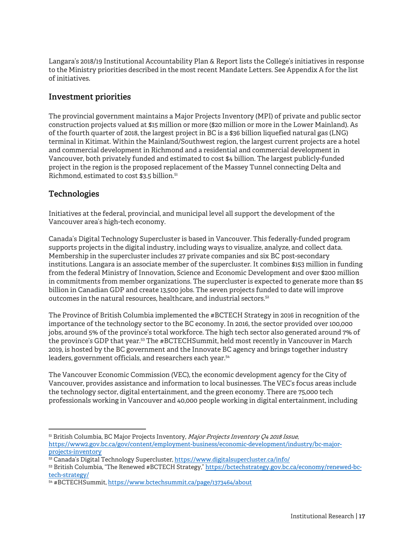Langara's 2018/19 Institutional Accountability Plan & Report lists the College's initiatives in response to the Ministry priorities described in the most recent Mandate Letters. See Appendix A for the list of initiatives.

#### **Investment priorities**

The provincial government maintains a Major Projects Inventory (MPI) of private and public sector construction projects valued at \$15 million or more (\$20 million or more in the Lower Mainland). As of the fourth quarter of 2018, the largest project in BC is a \$36 billion liquefied natural gas (LNG) terminal in Kitimat. Within the Mainland/Southwest region, the largest current projects are a hotel and commercial development in Richmond and a residential and commercial development in Vancouver, both privately funded and estimated to cost \$4 billion. The largest publicly-funded project in the region is the proposed replacement of the Massey Tunnel connecting Delta and Richmond, estimated to cost \$3.5 billion.<sup>51</sup>

#### **Technologies**

-

Initiatives at the federal, provincial, and municipal level all support the development of the Vancouver area's high-tech economy.

Canada's Digital Technology Supercluster is based in Vancouver. This federally-funded program supports projects in the digital industry, including ways to visualize, analyze, and collect data. Membership in the supercluster includes 27 private companies and six BC post-secondary institutions. Langara is an associate member of the supercluster. It combines \$153 million in funding from the federal Ministry of Innovation, Science and Economic Development and over \$200 million in commitments from member organizations. The supercluster is expected to generate more than \$5 billion in Canadian GDP and create 13,500 jobs. The seven projects funded to date will improve outcomes in the natural resources, healthcare, and industrial sectors.52

The Province of British Columbia implemented the #BCTECH Strategy in 2016 in recognition of the importance of the technology sector to the BC economy. In 2016, the sector provided over 100,000 jobs, around 5% of the province's total workforce. The high tech sector also generated around 7% of the province's GDP that year.53 The #BCTECHSummit, held most recently in Vancouver in March 2019, is hosted by the BC government and the Innovate BC agency and brings together industry leaders, government officials, and researchers each year.<sup>54</sup>

The Vancouver Economic Commission (VEC), the economic development agency for the City of Vancouver, provides assistance and information to local businesses. The VEC's focus areas include the technology sector, digital entertainment, and the green economy. There are 75,000 tech professionals working in Vancouver and 40,000 people working in digital entertainment, including

52 Canada's Digital Technology Supercluster, https://www.digitalsupercluster.ca/info/

53 British Columbia, "The Renewed #BCTECH Strategy," https://bctechstrategy.gov.bc.ca/economy/renewed-bctech-strategy/

 $51$  British Columbia, BC Major Projects Inventory, *Major Projects Inventory Q4 2018 Issue*, https://www2.gov.bc.ca/gov/content/employment-business/economic-development/industry/bc-majorprojects-inventory

<sup>54 #</sup>BCTECHSummit, https://www.bctechsummit.ca/page/1373464/about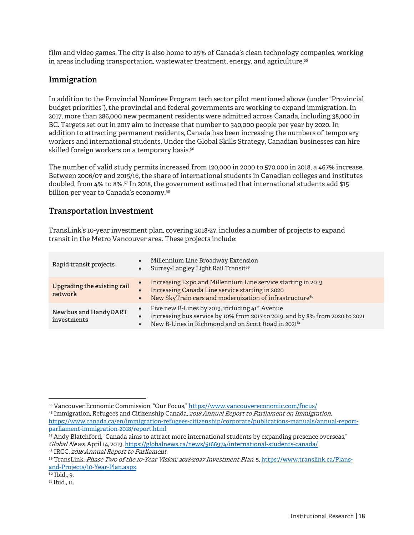film and video games. The city is also home to 25% of Canada's clean technology companies, working in areas including transportation, wastewater treatment, energy, and agriculture.<sup>55</sup>

#### **Immigration**

In addition to the Provincial Nominee Program tech sector pilot mentioned above (under "Provincial budget priorities"), the provincial and federal governments are working to expand immigration. In 2017, more than 286,000 new permanent residents were admitted across Canada, including 38,000 in BC. Targets set out in 2017 aim to increase that number to 340,000 people per year by 2020. In addition to attracting permanent residents, Canada has been increasing the numbers of temporary workers and international students. Under the Global Skills Strategy, Canadian businesses can hire skilled foreign workers on a temporary basis.<sup>56</sup>

The number of valid study permits increased from 120,000 in 2000 to 570,000 in 2018, a 467% increase. Between 2006/07 and 2015/16, the share of international students in Canadian colleges and institutes doubled, from 4% to 8%.57 In 2018, the government estimated that international students add \$15 billion per year to Canada's economy.<sup>58</sup>

#### **Transportation investment**

TransLink's 10-year investment plan, covering 2018-27, includes a number of projects to expand transit in the Metro Vancouver area. These projects include:

| Rapid transit projects                 | $\bullet$<br>$\bullet$              | Millennium Line Broadway Extension<br>Surrey-Langley Light Rail Transit <sup>59</sup>                                                                                                                          |
|----------------------------------------|-------------------------------------|----------------------------------------------------------------------------------------------------------------------------------------------------------------------------------------------------------------|
| Upgrading the existing rail<br>network | $\bullet$<br>$\bullet$<br>$\bullet$ | Increasing Expo and Millennium Line service starting in 2019<br>Increasing Canada Line service starting in 2020<br>New SkyTrain cars and modernization of infrastructure <sup>60</sup>                         |
| New bus and HandyDART<br>investments   | $\bullet$<br>$\bullet$<br>$\bullet$ | Five new B-Lines by 2019, including 41 <sup>st</sup> Avenue<br>Increasing bus service by 10% from 2017 to 2019, and by 8% from 2020 to 2021<br>New B-Lines in Richmond and on Scott Road in 2021 <sup>61</sup> |

56 Immigration, Refugees and Citizenship Canada, 2018 Annual Report to Parliament on Immigration, https://www.canada.ca/en/immigration-refugees-citizenship/corporate/publications-manuals/annual-reportparliament-immigration-2018/report.html

<sup>55</sup> Vancouver Economic Commission, "Our Focus," https://www.vancouvereconomic.com/focus/

<sup>57</sup> Andy Blatchford, "Canada aims to attract more international students by expanding presence overseas," Global News, April 14, 2019, https://globalnews.ca/news/5166974/international-students-canada/

<sup>&</sup>lt;sup>58</sup> IRCC, *2018 Annual Report to Parliament.*<br><sup>59</sup> TransLink, *Phase Two of the 10-Year Vision: 2018-2027 Investment Plan,* 5, https://www.translink.ca/Plansand-Projects/10-Year-Plan.aspx

<sup>60</sup> Ibid., 9.

<sup>61</sup> Ibid., 11.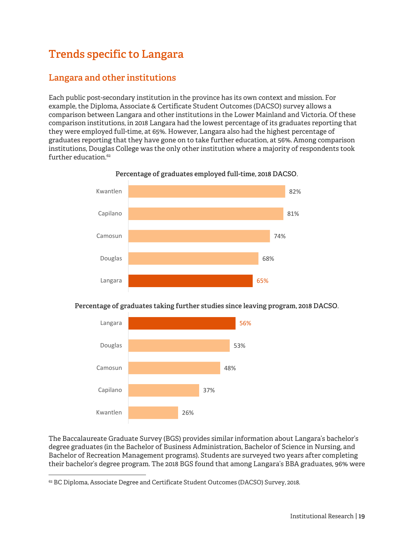# **Trends specific to Langara**

# **Langara and other institutions**

Each public post-secondary institution in the province has its own context and mission. For example, the Diploma, Associate & Certificate Student Outcomes (DACSO) survey allows a comparison between Langara and other institutions in the Lower Mainland and Victoria. Of these comparison institutions, in 2018 Langara had the lowest percentage of its graduates reporting that they were employed full-time, at 65%. However, Langara also had the highest percentage of graduates reporting that they have gone on to take further education, at 56%. Among comparison institutions, Douglas College was the only other institution where a majority of respondents took further education.<sup>62</sup>



**Percentage of graduates employed full-time, 2018 DACSO.** 

#### **Percentage of graduates taking further studies since leaving program, 2018 DACSO.**



The Baccalaureate Graduate Survey (BGS) provides similar information about Langara's bachelor's degree graduates (in the Bachelor of Business Administration, Bachelor of Science in Nursing, and Bachelor of Recreation Management programs). Students are surveyed two years after completing their bachelor's degree program. The 2018 BGS found that among Langara's BBA graduates, 96% were

<sup>&</sup>lt;sup>62</sup> BC Diploma, Associate Degree and Certificate Student Outcomes (DACSO) Survey, 2018.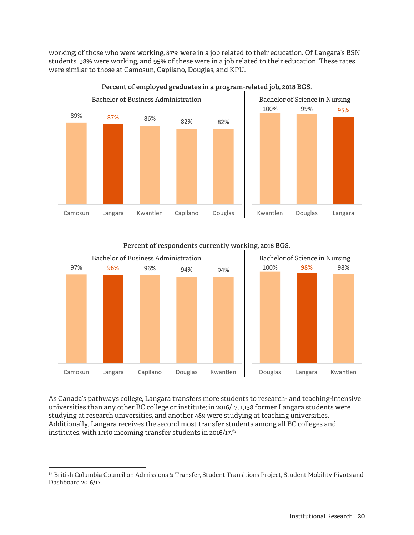working; of those who were working, 87% were in a job related to their education. Of Langara's BSN students, 98% were working, and 95% of these were in a job related to their education. These rates were similar to those at Camosun, Capilano, Douglas, and KPU.



**Percent of employed graduates in a program-related job, 2018 BGS.** 

**Percent of respondents currently working, 2018 BGS.** 



As Canada's pathways college, Langara transfers more students to research- and teaching-intensive universities than any other BC college or institute; in 2016/17, 1,138 former Langara students were studying at research universities, and another 489 were studying at teaching universities. Additionally, Langara receives the second most transfer students among all BC colleges and institutes, with 1,350 incoming transfer students in 2016/17.63

<sup>63</sup> British Columbia Council on Admissions & Transfer, Student Transitions Project, Student Mobility Pivots and Dashboard 2016/17.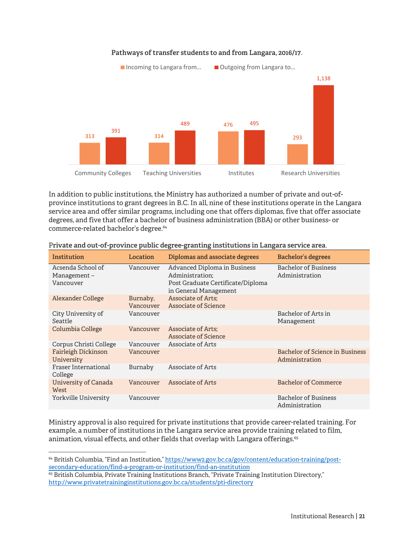

**Pathways of transfer students to and from Langara, 2016/17.** 

In addition to public institutions, the Ministry has authorized a number of private and out-ofprovince institutions to grant degrees in B.C. In all, nine of these institutions operate in the Langara service area and offer similar programs, including one that offers diplomas, five that offer associate degrees, and five that offer a bachelor of business administration (BBA) or other business- or commerce-related bachelor's degree.<sup>64</sup>

| Institution                                   | Location              | Diplomas and associate degrees                                                                                | Bachelor's degrees                                |
|-----------------------------------------------|-----------------------|---------------------------------------------------------------------------------------------------------------|---------------------------------------------------|
| Acsenda School of<br>Management-<br>Vancouver | Vancouver             | Advanced Diploma in Business<br>Administration:<br>Post Graduate Certificate/Diploma<br>in General Management | <b>Bachelor of Business</b><br>Administration     |
| Alexander College                             | Burnaby,<br>Vancouver | Associate of Arts;<br>Associate of Science                                                                    |                                                   |
| City University of<br>Seattle                 | Vancouver             |                                                                                                               | Bachelor of Arts in<br>Management                 |
| Columbia College                              | Vancouver             | Associate of Arts;<br><b>Associate of Science</b>                                                             |                                                   |
| Corpus Christi College                        | Vancouver             | Associate of Arts                                                                                             |                                                   |
| Fairleigh Dickinson<br>University             | Vancouver             |                                                                                                               | Bachelor of Science in Business<br>Administration |
| Fraser International<br>College               | Burnaby               | Associate of Arts                                                                                             |                                                   |
| University of Canada<br>West                  | Vancouver             | Associate of Arts                                                                                             | <b>Bachelor of Commerce</b>                       |
| Yorkville University                          | Vancouver             |                                                                                                               | <b>Bachelor of Business</b><br>Administration     |

#### P**rivate and out-of-province public degree-granting institutions in Langara service area.**

Ministry approval is also required for private institutions that provide career-related training. For example, a number of institutions in the Langara service area provide training related to film, animation, visual effects, and other fields that overlap with Langara offerings.<sup>65</sup>

**.** 

<sup>64</sup> British Columbia, "Find an Institution," https://www2.gov.bc.ca/gov/content/education-training/postsecondary-education/find-a-program-or-institution/find-an-institution

<sup>&</sup>lt;sup>65</sup> British Columbia, Private Training Institutions Branch, "Private Training Institution Directory," http://www.privatetraininginstitutions.gov.bc.ca/students/pti-directory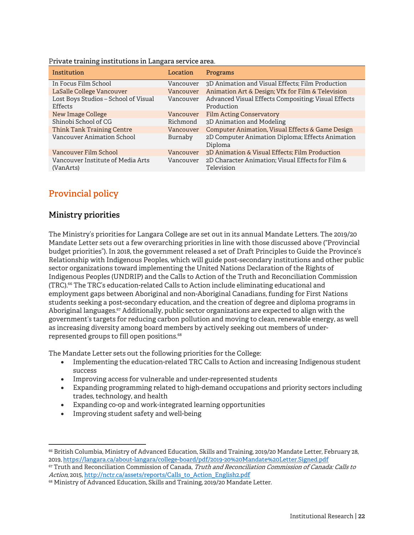| Institution                                     | Location  | Programs                                                          |
|-------------------------------------------------|-----------|-------------------------------------------------------------------|
| In Focus Film School                            | Vancouver | 3D Animation and Visual Effects; Film Production                  |
| LaSalle College Vancouver                       | Vancouver | Animation Art & Design; Vfx for Film & Television                 |
| Lost Boys Studios - School of Visual<br>Effects | Vancouver | Advanced Visual Effects Compositing; Visual Effects<br>Production |
| New Image College                               | Vancouver | <b>Film Acting Conservatory</b>                                   |
| Shinobi School of CG                            | Richmond  | 3D Animation and Modeling                                         |
| Think Tank Training Centre                      | Vancouver | Computer Animation, Visual Effects & Game Design                  |
| <b>Vancouver Animation School</b>               | Burnaby   | 2D Computer Animation Diploma; Effects Animation<br>Diploma       |
| Vancouver Film School                           | Vancouver | 3D Animation & Visual Effects; Film Production                    |
| Vancouver Institute of Media Arts<br>(VanArts)  | Vancouver | 2D Character Animation; Visual Effects for Film &<br>Television   |

P**rivate training institutions in Langara service area.**

# **Provincial policy**

#### **Ministry priorities**

The Ministry's priorities for Langara College are set out in its annual Mandate Letters. The 2019/20 Mandate Letter sets out a few overarching priorities in line with those discussed above ("Provincial budget priorities"). In 2018, the government released a set of Draft Principles to Guide the Province's Relationship with Indigenous Peoples, which will guide post-secondary institutions and other public sector organizations toward implementing the United Nations Declaration of the Rights of Indigenous Peoples (UNDRIP) and the Calls to Action of the Truth and Reconciliation Commission (TRC).66 The TRC's education-related Calls to Action include eliminating educational and employment gaps between Aboriginal and non-Aboriginal Canadians, funding for First Nations students seeking a post-secondary education, and the creation of degree and diploma programs in Aboriginal languages.<sup>67</sup> Additionally, public sector organizations are expected to align with the government's targets for reducing carbon pollution and moving to clean, renewable energy, as well as increasing diversity among board members by actively seeking out members of underrepresented groups to fill open positions.<sup>68</sup>

The Mandate Letter sets out the following priorities for the College:

- Implementing the education-related TRC Calls to Action and increasing Indigenous student success
- Improving access for vulnerable and under-represented students
- Expanding programming related to high-demand occupations and priority sectors including trades, technology, and health
- Expanding co-op and work-integrated learning opportunities
- Improving student safety and well-being

 $\overline{a}$ 66 British Columbia, Ministry of Advanced Education, Skills and Training, 2019/20 Mandate Letter, February 28, 2019, https://langara.ca/about-langara/college-board/pdf/2019-20%20Mandate%20Letter.Signed.pdf <sup>67</sup> Truth and Reconciliation Commission of Canada, *Truth and Reconciliation Commission of Canada: Calls to* 

Action, 2015, http://nctr.ca/assets/reports/Calls\_to\_Action\_English2.pdf

<sup>&</sup>lt;sup>68</sup> Ministry of Advanced Education, Skills and Training, 2019/20 Mandate Letter.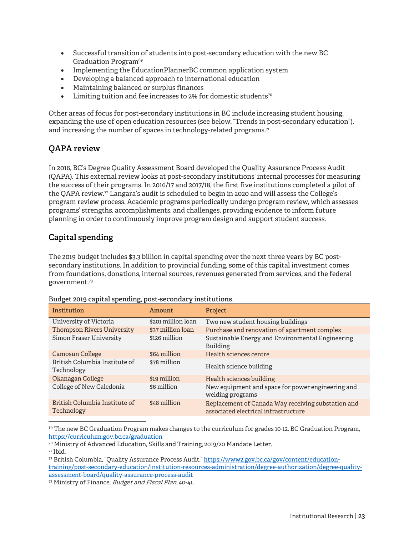- Successful transition of students into post-secondary education with the new BC Graduation Program<sup>69</sup>
- Implementing the EducationPlannerBC common application system
- Developing a balanced approach to international education
- Maintaining balanced or surplus finances
- $\bullet$  Limiting tuition and fee increases to 2% for domestic students<sup>70</sup>

Other areas of focus for post-secondary institutions in BC include increasing student housing, expanding the use of open education resources (see below, "Trends in post-secondary education"), and increasing the number of spaces in technology-related programs.<sup>71</sup>

## **QAPA review**

In 2016, BC's Degree Quality Assessment Board developed the Quality Assurance Process Audit (QAPA). This external review looks at post-secondary institutions' internal processes for measuring the success of their programs. In 2016/17 and 2017/18, the first five institutions completed a pilot of the QAPA review.72 Langara's audit is scheduled to begin in 2020 and will assess the College's program review process. Academic programs periodically undergo program review, which assesses programs' strengths, accomplishments, and challenges, providing evidence to inform future planning in order to continuously improve program design and support student success.

## **Capital spending**

The 2019 budget includes \$3.3 billion in capital spending over the next three years by BC postsecondary institutions. In addition to provincial funding, some of this capital investment comes from foundations, donations, internal sources, revenues generated from services, and the federal government.73

| Institution                                 | Amount             | <b>Project</b>                                                                             |
|---------------------------------------------|--------------------|--------------------------------------------------------------------------------------------|
| University of Victoria                      | \$201 million loan | Two new student housing buildings                                                          |
| <b>Thompson Rivers University</b>           | \$37 million loan  | Purchase and renovation of apartment complex                                               |
| Simon Fraser University                     | \$126 million      | Sustainable Energy and Environmental Engineering<br>Building                               |
| Camosun College                             | \$64 million       | Health sciences centre                                                                     |
| British Columbia Institute of<br>Technology | \$78 million       | Health science building                                                                    |
| Okanagan College                            | \$19 million       | Health sciences building                                                                   |
| College of New Caledonia                    | \$6 million        | New equipment and space for power engineering and<br>welding programs                      |
| British Columbia Institute of<br>Technology | \$48 million       | Replacement of Canada Way receiving substation and<br>associated electrical infrastructure |

**Budget 2019 capital spending, post-secondary institutions.** 

 $\overline{a}$ <sup>69</sup> The new BC Graduation Program makes changes to the curriculum for grades 10-12. BC Graduation Program, https://curriculum.gov.bc.ca/graduation

73 Ministry of Finance, Budget and Fiscal Plan, 40-41.

<sup>70</sup> Ministry of Advanced Education, Skills and Training, 2019/20 Mandate Letter.

 $71$  Ibid.

<sup>72</sup> British Columbia, "Quality Assurance Process Audit," https://www2.gov.bc.ca/gov/content/educationtraining/post-secondary-education/institution-resources-administration/degree-authorization/degree-qualityassessment-board/quality-assurance-process-audit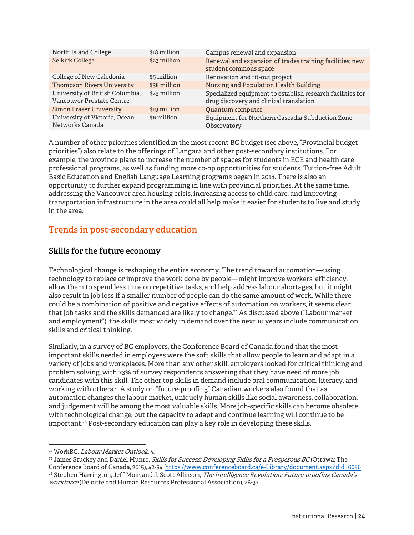| North Island College              | \$18 million | Campus renewal and expansion                               |
|-----------------------------------|--------------|------------------------------------------------------------|
| Selkirk College                   | \$23 million | Renewal and expansion of trades training facilities; new   |
|                                   |              | student commons space                                      |
| College of New Caledonia          | \$5 million  | Renovation and fit-out project                             |
| <b>Thompson Rivers University</b> | \$38 million | Nursing and Population Health Building                     |
| University of British Columbia,   | \$23 million | Specialized equipment to establish research facilities for |
| Vancouver Prostate Centre         |              | drug discovery and clinical translation                    |
| <b>Simon Fraser University</b>    | \$19 million | Quantum computer                                           |
| University of Victoria, Ocean     | \$6 million  | Equipment for Northern Cascadia Subduction Zone            |
| Networks Canada                   |              | Observatory                                                |

A number of other priorities identified in the most recent BC budget (see above, "Provincial budget priorities") also relate to the offerings of Langara and other post-secondary institutions. For example, the province plans to increase the number of spaces for students in ECE and health care professional programs, as well as funding more co-op opportunities for students. Tuition-free Adult Basic Education and English Language Learning programs began in 2018. There is also an opportunity to further expand programming in line with provincial priorities. At the same time, addressing the Vancouver area housing crisis, increasing access to child care, and improving transportation infrastructure in the area could all help make it easier for students to live and study in the area.

# **Trends in post-secondary education**

## **Skills for the future economy**

Technological change is reshaping the entire economy. The trend toward automation—using technology to replace or improve the work done by people—might improve workers' efficiency, allow them to spend less time on repetitive tasks, and help address labour shortages, but it might also result in job loss if a smaller number of people can do the same amount of work. While there could be a combination of positive and negative effects of automation on workers, it seems clear that job tasks and the skills demanded are likely to change.74 As discussed above ("Labour market and employment"), the skills most widely in demand over the next 10 years include communication skills and critical thinking.

Similarly, in a survey of BC employers, the Conference Board of Canada found that the most important skills needed in employees were the soft skills that allow people to learn and adapt in a variety of jobs and workplaces. More than any other skill, employers looked for critical thinking and problem solving, with 73% of survey respondents answering that they have need of more job candidates with this skill. The other top skills in demand include oral communication, literacy, and working with others.75 A study on "future-proofing" Canadian workers also found that as automation changes the labour market, uniquely human skills like social awareness, collaboration, and judgement will be among the most valuable skills. More job-specific skills can become obsolete with technological change, but the capacity to adapt and continue learning will continue to be important.<sup>76</sup> Post-secondary education can play a key role in developing these skills.

 $\overline{a}$ 

<sup>&</sup>lt;sup>74</sup> WorkBC, *Labour Market Outlook*, 4.<br><sup>75</sup> James Stuckey and Daniel Munro, *Skills for Success: Developing Skills for a Prosperous BC* (Ottawa: The Conference Board of Canada, 2015), 42-54, https://www.conferenceboard.ca/e-Library/document.aspx?did=6686 76 Stephen Harrington, Jeff Moir, and J. Scott Allinson, The Intelligence Revolution: Future-proofing Canada's workforce (Deloitte and Human Resources Professional Association), 26-37.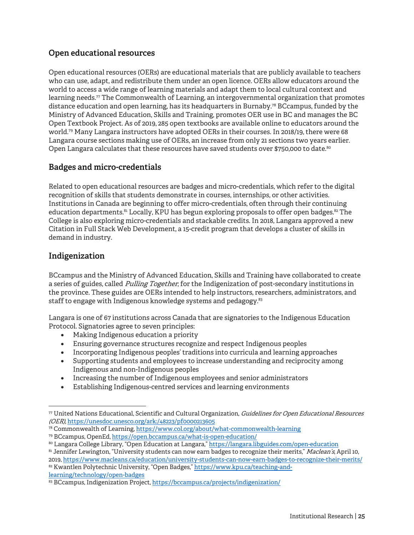#### **Open educational resources**

Open educational resources (OERs) are educational materials that are publicly available to teachers who can use, adapt, and redistribute them under an open licence. OERs allow educators around the world to access a wide range of learning materials and adapt them to local cultural context and learning needs.77 The Commonwealth of Learning, an intergovernmental organization that promotes distance education and open learning, has its headquarters in Burnaby.78 BCcampus, funded by the Ministry of Advanced Education, Skills and Training, promotes OER use in BC and manages the BC Open Textbook Project. As of 2019, 285 open textbooks are available online to educators around the world.79 Many Langara instructors have adopted OERs in their courses. In 2018/19, there were 68 Langara course sections making use of OERs, an increase from only 21 sections two years earlier. Open Langara calculates that these resources have saved students over \$750,000 to date.<sup>80</sup>

## **Badges and micro-credentials**

Related to open educational resources are badges and micro-credentials, which refer to the digital recognition of skills that students demonstrate in courses, internships, or other activities. Institutions in Canada are beginning to offer micro-credentials, often through their continuing education departments.<sup>81</sup> Locally, KPU has begun exploring proposals to offer open badges.<sup>82</sup> The College is also exploring micro-credentials and stackable credits. In 2018, Langara approved a new Citation in Full Stack Web Development, a 15-credit program that develops a cluster of skills in demand in industry.

#### **Indigenization**

-

BCcampus and the Ministry of Advanced Education, Skills and Training have collaborated to create a series of guides, called *Pulling Together*, for the Indigenization of post-secondary institutions in the province. These guides are OERs intended to help instructors, researchers, administrators, and staff to engage with Indigenous knowledge systems and pedagogy.<sup>83</sup>

Langara is one of 67 institutions across Canada that are signatories to the Indigenous Education Protocol. Signatories agree to seven principles:

- Making Indigenous education a priority
- Ensuring governance structures recognize and respect Indigenous peoples
- Incorporating Indigenous peoples' traditions into curricula and learning approaches
- Supporting students and employees to increase understanding and reciprocity among Indigenous and non-Indigenous peoples
- Increasing the number of Indigenous employees and senior administrators
- Establishing Indigenous-centred services and learning environments

<sup>77</sup> United Nations Educational, Scientific and Cultural Organization, Guidelines for Open Educational Resources (OER), https://unesdoc.unesco.org/ark:/48223/pf0000213605

<sup>78</sup> Commonwealth of Learning, https://www.col.org/about/what-commonwealth-learning

<sup>79</sup> BCcampus, OpenEd, https://open.bccampus.ca/what-is-open-education/

<sup>80</sup> Langara College Library, "Open Education at Langara," https://langara.libguides.com/open-education

<sup>81</sup> Jennifer Lewington, "University students can now earn badges to recognize their merits," Maclean's, April 10, 2019, https://www.macleans.ca/education/university-students-can-now-earn-badges-to-recognize-their-merits/ 82 Kwantlen Polytechnic University, "Open Badges," https://www.kpu.ca/teaching-andlearning/technology/open-badges

<sup>83</sup> BCcampus, Indigenization Project, https://bccampus.ca/projects/indigenization/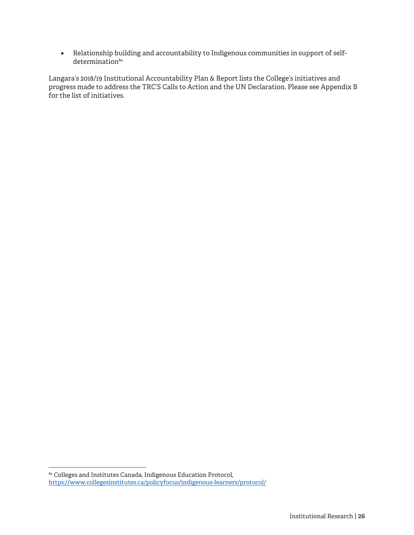Relationship building and accountability to Indigenous communities in support of selfdetermination<sup>84</sup>

Langara's 2018/19 Institutional Accountability Plan & Report lists the College's initiatives and progress made to address the TRC'S Calls to Action and the UN Declaration. Please see Appendix B for the list of initiatives.

<sup>84</sup> Colleges and Institutes Canada, Indigenous Education Protocol, https://www.collegesinstitutes.ca/policyfocus/indigenous-learners/protocol/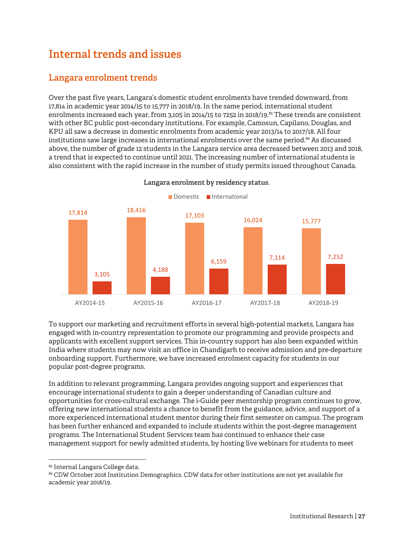# **Internal trends and issues**

# **Langara enrolment trends**

Over the past five years, Langara's domestic student enrolments have trended downward, from 17,814 in academic year 2014/15 to 15,777 in 2018/19. In the same period, international student enrolments increased each year, from 3,105 in 2014/15 to 7252 in 2018/19.85 These trends are consistent with other BC public post-secondary institutions. For example, Camosun, Capilano, Douglas, and KPU all saw a decrease in domestic enrolments from academic year 2013/14 to 2017/18. All four institutions saw large increases in international enrolments over the same period.<sup>86</sup> As discussed above, the number of grade 12 students in the Langara service area decreased between 2013 and 2018, a trend that is expected to continue until 2021. The increasing number of international students is also consistent with the rapid increase in the number of study permits issued throughout Canada.



**Langara enrolment by residency status.**

To support our marketing and recruitment efforts in several high-potential markets, Langara has engaged with in-country representation to promote our programming and provide prospects and applicants with excellent support services. This in-country support has also been expanded within India where students may now visit an office in Chandigarh to receive admission and pre-departure onboarding support. Furthermore, we have increased enrolment capacity for students in our popular post-degree programs.

In addition to relevant programming, Langara provides ongoing support and experiences that encourage international students to gain a deeper understanding of Canadian culture and opportunities for cross-cultural exchange. The i-Guide peer mentorship program continues to grow, offering new international students a chance to benefit from the guidance, advice, and support of a more experienced international student mentor during their first semester on campus. The program has been further enhanced and expanded to include students within the post-degree management programs. The International Student Services team has continued to enhance their case management support for newly admitted students, by hosting live webinars for students to meet

<sup>85</sup> Internal Langara College data.

<sup>86</sup> CDW October 2018 Institution Demographics. CDW data for other institutions are not yet available for academic year 2018/19.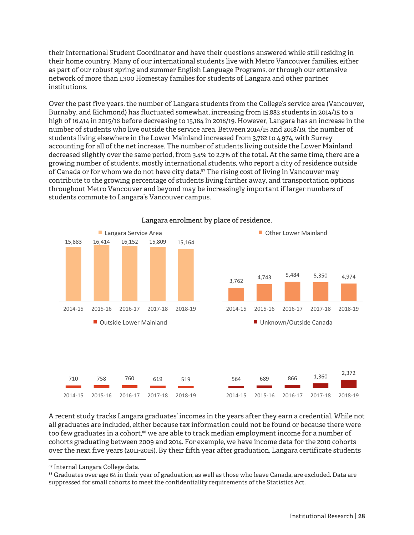their International Student Coordinator and have their questions answered while still residing in their home country. Many of our international students live with Metro Vancouver families, either as part of our robust spring and summer English Language Programs, or through our extensive network of more than 1,300 Homestay families for students of Langara and other partner institutions.

Over the past five years, the number of Langara students from the College's service area (Vancouver, Burnaby, and Richmond) has fluctuated somewhat, increasing from 15,883 students in 2014/15 to a high of 16,414 in 2015/16 before decreasing to 15,164 in 2018/19. However, Langara has an increase in the number of students who live outside the service area. Between 2014/15 and 2018/19, the number of students living elsewhere in the Lower Mainland increased from 3,762 to 4,974, with Surrey accounting for all of the net increase. The number of students living outside the Lower Mainland decreased slightly over the same period, from 3.4% to 2.3% of the total. At the same time, there are a growing number of students, mostly international students, who report a city of residence outside of Canada or for whom we do not have city data.<sup>87</sup> The rising cost of living in Vancouver may contribute to the growing percentage of students living farther away, and transportation options throughout Metro Vancouver and beyond may be increasingly important if larger numbers of students commute to Langara's Vancouver campus.



**Langara enrolment by place of residence.**

A recent study tracks Langara graduates' incomes in the years after they earn a credential. While not all graduates are included, either because tax information could not be found or because there were too few graduates in a cohort,<sup>88</sup> we are able to track median employment income for a number of cohorts graduating between 2009 and 2014. For example, we have income data for the 2010 cohorts over the next five years (2011-2015). By their fifth year after graduation, Langara certificate students

-

88 Graduates over age 64 in their year of graduation, as well as those who leave Canada, are excluded. Data are suppressed for small cohorts to meet the confidentiality requirements of the Statistics Act.

<sup>87</sup> Internal Langara College data.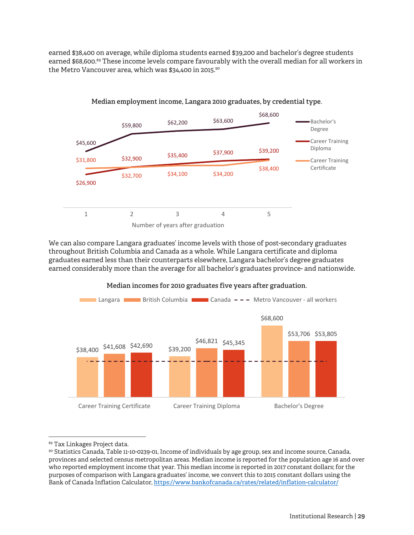earned \$38,400 on average, while diploma students earned \$39,200 and bachelor's degree students earned \$68,600.<sup>89</sup> These income levels compare favourably with the overall median for all workers in the Metro Vancouver area, which was \$34,400 in 2015.90



We can also compare Langara graduates' income levels with those of post-secondary graduates throughout British Columbia and Canada as a whole. While Langara certificate and diploma graduates earned less than their counterparts elsewhere, Langara bachelor's degree graduates earned considerably more than the average for all bachelor's graduates province- and nationwide.



**Median incomes for 2010 graduates five years after graduation.** 

-

<sup>89</sup> Tax Linkages Project data.

<sup>90</sup> Statistics Canada, Table 11-10-0239-01, Income of individuals by age group, sex and income source, Canada, provinces and selected census metropolitan areas. Median income is reported for the population age 16 and over who reported employment income that year. This median income is reported in 2017 constant dollars; for the purposes of comparison with Langara graduates' income, we convert this to 2015 constant dollars using the Bank of Canada Inflation Calculator, https://www.bankofcanada.ca/rates/related/inflation-calculator/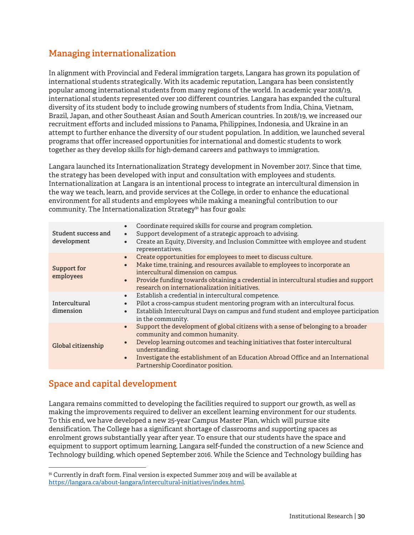# **Managing internationalization**

In alignment with Provincial and Federal immigration targets, Langara has grown its population of international students strategically. With its academic reputation, Langara has been consistently popular among international students from many regions of the world. In academic year 2018/19, international students represented over 100 different countries. Langara has expanded the cultural diversity of its student body to include growing numbers of students from India, China, Vietnam, Brazil, Japan, and other Southeast Asian and South American countries. In 2018/19, we increased our recruitment efforts and included missions to Panama, Philippines, Indonesia, and Ukraine in an attempt to further enhance the diversity of our student population. In addition, we launched several programs that offer increased opportunities for international and domestic students to work together as they develop skills for high-demand careers and pathways to immigration.

Langara launched its Internationalization Strategy development in November 2017. Since that time, the strategy has been developed with input and consultation with employees and students. Internationalization at Langara is an intentional process to integrate an intercultural dimension in the way we teach, learn, and provide services at the College, in order to enhance the educational environment for all students and employees while making a meaningful contribution to our community. The Internationalization Strategy<sup>91</sup> has four goals:

| Student success and<br>development | Coordinate required skills for course and program completion.<br>$\bullet$<br>Support development of a strategic approach to advising.<br>$\bullet$<br>Create an Equity, Diversity, and Inclusion Committee with employee and student<br>$\bullet$<br>representatives.                                                                                                                |
|------------------------------------|---------------------------------------------------------------------------------------------------------------------------------------------------------------------------------------------------------------------------------------------------------------------------------------------------------------------------------------------------------------------------------------|
| Support for<br>employees           | Create opportunities for employees to meet to discuss culture.<br>$\bullet$<br>Make time, training, and resources available to employees to incorporate an<br>$\bullet$<br>intercultural dimension on campus.<br>Provide funding towards obtaining a credential in intercultural studies and support<br>$\bullet$<br>research on internationalization initiatives.                    |
| Intercultural<br>dimension         | Establish a credential in intercultural competence.<br>$\bullet$<br>Pilot a cross-campus student mentoring program with an intercultural focus.<br>$\bullet$<br>Establish Intercultural Days on campus and fund student and employee participation<br>$\bullet$<br>in the community.                                                                                                  |
| Global citizenship                 | Support the development of global citizens with a sense of belonging to a broader<br>$\bullet$<br>community and common humanity.<br>Develop learning outcomes and teaching initiatives that foster intercultural<br>$\bullet$<br>understanding.<br>Investigate the establishment of an Education Abroad Office and an International<br>$\bullet$<br>Partnership Coordinator position. |

## **Space and capital development**

 $\overline{a}$ 

Langara remains committed to developing the facilities required to support our growth, as well as making the improvements required to deliver an excellent learning environment for our students. To this end, we have developed a new 25-year Campus Master Plan, which will pursue site densification. The College has a significant shortage of classrooms and supporting spaces as enrolment grows substantially year after year. To ensure that our students have the space and equipment to support optimum learning, Langara self-funded the construction of a new Science and Technology building, which opened September 2016. While the Science and Technology building has

<sup>91</sup> Currently in draft form. Final version is expected Summer 2019 and will be available at https://langara.ca/about-langara/intercultural-initiatives/index.html.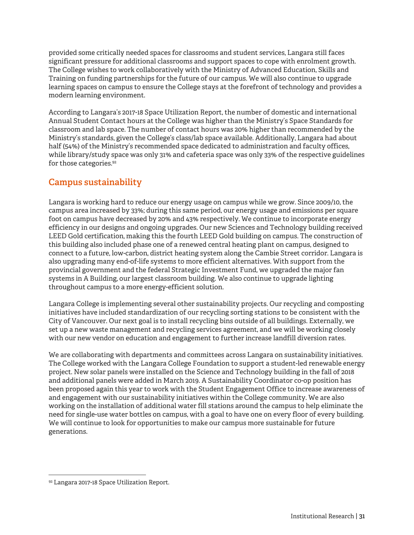provided some critically needed spaces for classrooms and student services, Langara still faces significant pressure for additional classrooms and support spaces to cope with enrolment growth. The College wishes to work collaboratively with the Ministry of Advanced Education, Skills and Training on funding partnerships for the future of our campus. We will also continue to upgrade learning spaces on campus to ensure the College stays at the forefront of technology and provides a modern learning environment.

According to Langara's 2017-18 Space Utilization Report, the number of domestic and international Annual Student Contact hours at the College was higher than the Ministry's Space Standards for classroom and lab space. The number of contact hours was 20% higher than recommended by the Ministry's standards, given the College's class/lab space available. Additionally, Langara had about half (54%) of the Ministry's recommended space dedicated to administration and faculty offices, while library/study space was only 31% and cafeteria space was only 33% of the respective guidelines for those categories.<sup>92</sup>

# **Campus sustainability**

Langara is working hard to reduce our energy usage on campus while we grow. Since 2009/10, the campus area increased by 33%; during this same period, our energy usage and emissions per square foot on campus have decreased by 20% and 43% respectively. We continue to incorporate energy efficiency in our designs and ongoing upgrades. Our new Sciences and Technology building received LEED Gold certification, making this the fourth LEED Gold building on campus. The construction of this building also included phase one of a renewed central heating plant on campus, designed to connect to a future, low-carbon, district heating system along the Cambie Street corridor. Langara is also upgrading many end-of-life systems to more efficient alternatives. With support from the provincial government and the federal Strategic Investment Fund, we upgraded the major fan systems in A Building, our largest classroom building. We also continue to upgrade lighting throughout campus to a more energy-efficient solution.

Langara College is implementing several other sustainability projects. Our recycling and composting initiatives have included standardization of our recycling sorting stations to be consistent with the City of Vancouver. Our next goal is to install recycling bins outside of all buildings. Externally, we set up a new waste management and recycling services agreement, and we will be working closely with our new vendor on education and engagement to further increase landfill diversion rates.

We are collaborating with departments and committees across Langara on sustainability initiatives. The College worked with the Langara College Foundation to support a student-led renewable energy project. New solar panels were installed on the Science and Technology building in the fall of 2018 and additional panels were added in March 2019. A Sustainability Coordinator co-op position has been proposed again this year to work with the Student Engagement Office to increase awareness of and engagement with our sustainability initiatives within the College community. We are also working on the installation of additional water fill stations around the campus to help eliminate the need for single-use water bottles on campus, with a goal to have one on every floor of every building. We will continue to look for opportunities to make our campus more sustainable for future generations.

<sup>92</sup> Langara 2017-18 Space Utilization Report.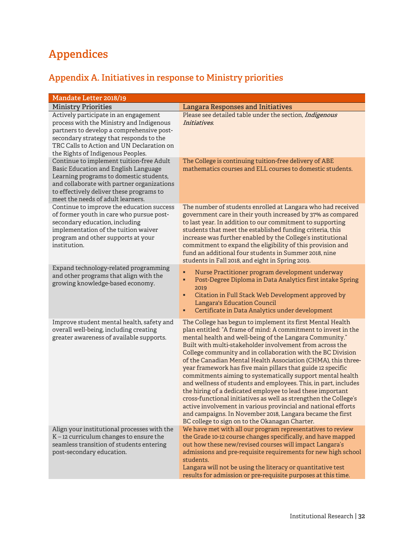# **Appendices**

# **Appendix A. Initiatives in response to Ministry priorities**

| Mandate Letter 2018/19                                                                                                                                                                                                                                            |                                                                                                                                                                                                                                                                                                                                                                                                                                                                                                                                                                                                                                                                                                                                                                                                                                                                                                       |  |  |
|-------------------------------------------------------------------------------------------------------------------------------------------------------------------------------------------------------------------------------------------------------------------|-------------------------------------------------------------------------------------------------------------------------------------------------------------------------------------------------------------------------------------------------------------------------------------------------------------------------------------------------------------------------------------------------------------------------------------------------------------------------------------------------------------------------------------------------------------------------------------------------------------------------------------------------------------------------------------------------------------------------------------------------------------------------------------------------------------------------------------------------------------------------------------------------------|--|--|
| <b>Ministry Priorities</b>                                                                                                                                                                                                                                        | <b>Langara Responses and Initiatives</b>                                                                                                                                                                                                                                                                                                                                                                                                                                                                                                                                                                                                                                                                                                                                                                                                                                                              |  |  |
| Actively participate in an engagement<br>process with the Ministry and Indigenous<br>partners to develop a comprehensive post-<br>secondary strategy that responds to the<br>TRC Calls to Action and UN Declaration on<br>the Rights of Indigenous Peoples.       | Please see detailed table under the section, Indigenous<br>Initiatives.                                                                                                                                                                                                                                                                                                                                                                                                                                                                                                                                                                                                                                                                                                                                                                                                                               |  |  |
| Continue to implement tuition-free Adult<br><b>Basic Education and English Language</b><br>Learning programs to domestic students,<br>and collaborate with partner organizations<br>to effectively deliver these programs to<br>meet the needs of adult learners. | The College is continuing tuition-free delivery of ABE<br>mathematics courses and ELL courses to domestic students.                                                                                                                                                                                                                                                                                                                                                                                                                                                                                                                                                                                                                                                                                                                                                                                   |  |  |
| Continue to improve the education success<br>of former youth in care who pursue post-<br>secondary education, including<br>implementation of the tuition waiver<br>program and other supports at your<br>institution.                                             | The number of students enrolled at Langara who had received<br>government care in their youth increased by 37% as compared<br>to last year. In addition to our commitment to supporting<br>students that meet the established funding criteria, this<br>increase was further enabled by the College's institutional<br>commitment to expand the eligibility of this provision and<br>fund an additional four students in Summer 2018, nine<br>students in Fall 2018, and eight in Spring 2019.                                                                                                                                                                                                                                                                                                                                                                                                        |  |  |
| Expand technology-related programming<br>and other programs that align with the<br>growing knowledge-based economy.                                                                                                                                               | Nurse Practitioner program development underway<br>٠<br>Post-Degree Diploma in Data Analytics first intake Spring<br>٠<br>2019<br>Citation in Full Stack Web Development approved by<br>٠<br><b>Langara's Education Council</b><br>Certificate in Data Analytics under development<br>٠                                                                                                                                                                                                                                                                                                                                                                                                                                                                                                                                                                                                               |  |  |
| Improve student mental health, safety and<br>overall well-being, including creating<br>greater awareness of available supports.                                                                                                                                   | The College has begun to implement its first Mental Health<br>plan entitled: "A frame of mind: A commitment to invest in the<br>mental health and well-being of the Langara Community."<br>Built with multi-stakeholder involvement from across the<br>College community and in collaboration with the BC Division<br>of the Canadian Mental Health Association (CHMA), this three-<br>year framework has five main pillars that guide 12 specific<br>commitments aiming to systematically support mental health<br>and wellness of students and employees. This, in part, includes<br>the hiring of a dedicated employee to lead these important<br>cross-functional initiatives as well as strengthen the College's<br>active involvement in various provincial and national efforts<br>and campaigns. In November 2018, Langara became the first<br>BC college to sign on to the Okanagan Charter. |  |  |
| Align your institutional processes with the<br>K-12 curriculum changes to ensure the<br>seamless transition of students entering<br>post-secondary education.                                                                                                     | We have met with all our program representatives to review<br>the Grade 10-12 course changes specifically, and have mapped<br>out how these new/revised courses will impact Langara's<br>admissions and pre-requisite requirements for new high school<br>students.<br>Langara will not be using the literacy or quantitative test<br>results for admission or pre-requisite purposes at this time.                                                                                                                                                                                                                                                                                                                                                                                                                                                                                                   |  |  |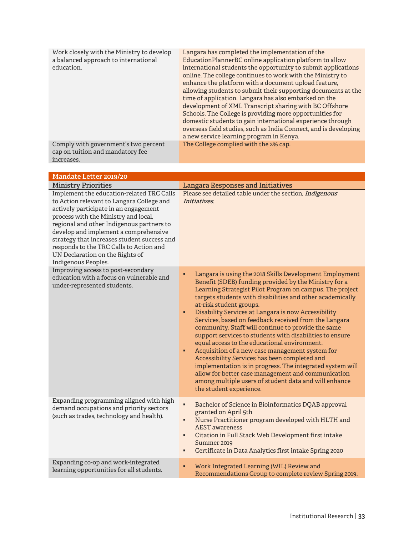| Work closely with the Ministry to develop<br>a balanced approach to international<br>education. | Langara has completed the implementation of the<br>EducationPlannerBC online application platform to allow<br>international students the opportunity to submit applications<br>online. The college continues to work with the Ministry to<br>enhance the platform with a document upload feature,<br>allowing students to submit their supporting documents at the<br>time of application. Langara has also embarked on the<br>development of XML Transcript sharing with BC Offshore<br>Schools. The College is providing more opportunities for<br>domestic students to gain international experience through<br>overseas field studies, such as India Connect, and is developing<br>a new service learning program in Kenya. |
|-------------------------------------------------------------------------------------------------|---------------------------------------------------------------------------------------------------------------------------------------------------------------------------------------------------------------------------------------------------------------------------------------------------------------------------------------------------------------------------------------------------------------------------------------------------------------------------------------------------------------------------------------------------------------------------------------------------------------------------------------------------------------------------------------------------------------------------------|
| Comply with government's two percent<br>cap on tuition and mandatory fee<br>increases.          | The College complied with the 2% cap.                                                                                                                                                                                                                                                                                                                                                                                                                                                                                                                                                                                                                                                                                           |

| Mandate Letter 2019/20                                                                                                                                                                                                                                                                                                                                                                                            |                                                                                                                                                                                                                                                                                                                                                                                                                                                                                                                                                                                                                                                                                                                                                                                                                                                                                  |  |  |
|-------------------------------------------------------------------------------------------------------------------------------------------------------------------------------------------------------------------------------------------------------------------------------------------------------------------------------------------------------------------------------------------------------------------|----------------------------------------------------------------------------------------------------------------------------------------------------------------------------------------------------------------------------------------------------------------------------------------------------------------------------------------------------------------------------------------------------------------------------------------------------------------------------------------------------------------------------------------------------------------------------------------------------------------------------------------------------------------------------------------------------------------------------------------------------------------------------------------------------------------------------------------------------------------------------------|--|--|
| <b>Ministry Priorities</b>                                                                                                                                                                                                                                                                                                                                                                                        | <b>Langara Responses and Initiatives</b>                                                                                                                                                                                                                                                                                                                                                                                                                                                                                                                                                                                                                                                                                                                                                                                                                                         |  |  |
| Implement the education-related TRC Calls<br>to Action relevant to Langara College and<br>actively participate in an engagement<br>process with the Ministry and local,<br>regional and other Indigenous partners to<br>develop and implement a comprehensive<br>strategy that increases student success and<br>responds to the TRC Calls to Action and<br>UN Declaration on the Rights of<br>Indigenous Peoples. | Please see detailed table under the section, Indigenous<br>Initiatives.                                                                                                                                                                                                                                                                                                                                                                                                                                                                                                                                                                                                                                                                                                                                                                                                          |  |  |
| Improving access to post-secondary<br>education with a focus on vulnerable and<br>under-represented students.                                                                                                                                                                                                                                                                                                     | Langara is using the 2018 Skills Development Employment<br>٠<br>Benefit (SDEB) funding provided by the Ministry for a<br>Learning Strategist Pilot Program on campus. The project<br>targets students with disabilities and other academically<br>at-risk student groups.<br>Disability Services at Langara is now Accessibility<br>٠<br>Services, based on feedback received from the Langara<br>community. Staff will continue to provide the same<br>support services to students with disabilities to ensure<br>equal access to the educational environment.<br>Acquisition of a new case management system for<br>٠<br>Accessibility Services has been completed and<br>implementation is in progress. The integrated system will<br>allow for better case management and communication<br>among multiple users of student data and will enhance<br>the student experience. |  |  |
| Expanding programming aligned with high<br>demand occupations and priority sectors<br>(such as trades, technology and health).                                                                                                                                                                                                                                                                                    | ×,<br>Bachelor of Science in Bioinformatics DQAB approval<br>granted on April 5th<br>Nurse Practitioner program developed with HLTH and<br>٠<br><b>AEST</b> awareness<br>Citation in Full Stack Web Development first intake<br>٠<br>Summer 2019<br>Certificate in Data Analytics first intake Spring 2020<br>٠                                                                                                                                                                                                                                                                                                                                                                                                                                                                                                                                                                  |  |  |
| Expanding co-op and work-integrated<br>learning opportunities for all students.                                                                                                                                                                                                                                                                                                                                   | ٠<br>Work Integrated Learning (WIL) Review and<br>Recommendations Group to complete review Spring 2019.                                                                                                                                                                                                                                                                                                                                                                                                                                                                                                                                                                                                                                                                                                                                                                          |  |  |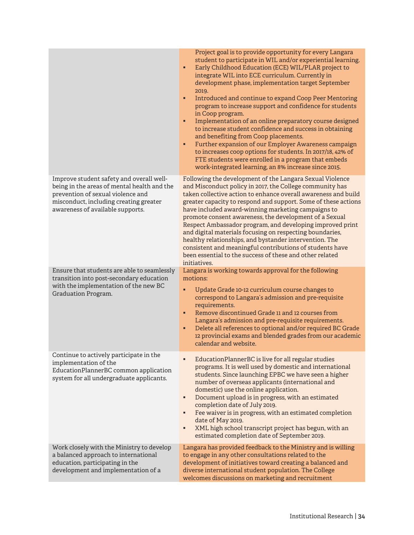|                                                                                                                                                                                                            | Project goal is to provide opportunity for every Langara<br>student to participate in WIL and/or experiential learning.<br>Early Childhood Education (ECE) WIL/PLAR project to<br>٠<br>integrate WIL into ECE curriculum. Currently in<br>development phase, implementation target September<br>2019.<br>Introduced and continue to expand Coop Peer Mentoring<br>٠<br>program to increase support and confidence for students<br>in Coop program.<br>Implementation of an online preparatory course designed<br>٠<br>to increase student confidence and success in obtaining<br>and benefiting from Coop placements.<br>Further expansion of our Employer Awareness campaign<br>٠<br>to increases coop options for students. In 2017/18, 42% of<br>FTE students were enrolled in a program that embeds<br>work-integrated learning, an 8% increase since 2015. |
|------------------------------------------------------------------------------------------------------------------------------------------------------------------------------------------------------------|-----------------------------------------------------------------------------------------------------------------------------------------------------------------------------------------------------------------------------------------------------------------------------------------------------------------------------------------------------------------------------------------------------------------------------------------------------------------------------------------------------------------------------------------------------------------------------------------------------------------------------------------------------------------------------------------------------------------------------------------------------------------------------------------------------------------------------------------------------------------|
| Improve student safety and overall well-<br>being in the areas of mental health and the<br>prevention of sexual violence and<br>misconduct, including creating greater<br>awareness of available supports. | Following the development of the Langara Sexual Violence<br>and Misconduct policy in 2017, the College community has<br>taken collective action to enhance overall awareness and build<br>greater capacity to respond and support. Some of these actions<br>have included award-winning marketing campaigns to<br>promote consent awareness, the development of a Sexual<br>Respect Ambassador program, and developing improved print<br>and digital materials focusing on respecting boundaries,<br>healthy relationships, and bystander intervention. The<br>consistent and meaningful contributions of students have<br>been essential to the success of these and other related<br>initiatives.                                                                                                                                                             |
| Ensure that students are able to seamlessly<br>transition into post-secondary education<br>with the implementation of the new BC<br>Graduation Program.                                                    | Langara is working towards approval for the following<br>motions:<br>٠<br>Update Grade 10-12 curriculum course changes to<br>correspond to Langara's admission and pre-requisite<br>requirements.<br>Remove discontinued Grade 11 and 12 courses from<br>٠<br>Langara's admission and pre-requisite requirements.<br>Delete all references to optional and/or required BC Grade<br>٠<br>12 provincial exams and blended grades from our academic<br>calendar and website.                                                                                                                                                                                                                                                                                                                                                                                       |
| Continue to actively participate in the<br>implementation of the<br>EducationPlannerBC common application<br>system for all undergraduate applicants.                                                      | EducationPlannerBC is live for all regular studies<br>٠<br>programs. It is well used by domestic and international<br>students. Since launching EPBC we have seen a higher<br>number of overseas applicants (international and<br>domestic) use the online application.<br>Document upload is in progress, with an estimated<br>п<br>completion date of July 2019.<br>Fee waiver is in progress, with an estimated completion<br>٠<br>date of May 2019.<br>XML high school transcript project has begun, with an<br>٠<br>estimated completion date of September 2019.                                                                                                                                                                                                                                                                                           |
| Work closely with the Ministry to develop<br>a balanced approach to international<br>education, participating in the<br>development and implementation of a                                                | Langara has provided feedback to the Ministry and is willing<br>to engage in any other consultations related to the<br>development of initiatives toward creating a balanced and<br>diverse international student population. The College<br>welcomes discussions on marketing and recruitment                                                                                                                                                                                                                                                                                                                                                                                                                                                                                                                                                                  |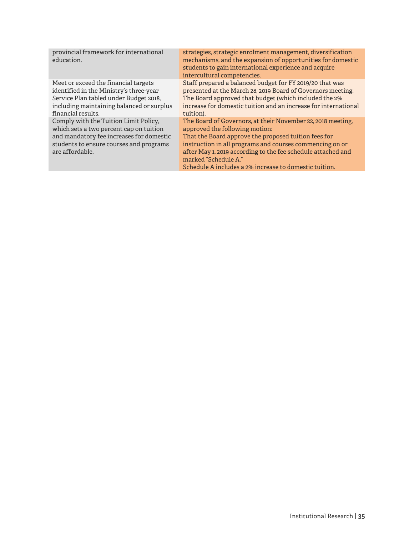| provincial framework for international<br>education.                                                                                                                                         | strategies, strategic enrolment management, diversification<br>mechanisms, and the expansion of opportunities for domestic<br>students to gain international experience and acquire<br>intercultural competencies.                                                                                                                                                  |
|----------------------------------------------------------------------------------------------------------------------------------------------------------------------------------------------|---------------------------------------------------------------------------------------------------------------------------------------------------------------------------------------------------------------------------------------------------------------------------------------------------------------------------------------------------------------------|
| Meet or exceed the financial targets<br>identified in the Ministry's three-year<br>Service Plan tabled under Budget 2018,<br>including maintaining balanced or surplus<br>financial results. | Staff prepared a balanced budget for FY 2019/20 that was<br>presented at the March 28, 2019 Board of Governors meeting.<br>The Board approved that budget (which included the 2%<br>increase for domestic tuition and an increase for international<br>tuition).                                                                                                    |
| Comply with the Tuition Limit Policy,<br>which sets a two percent cap on tuition<br>and mandatory fee increases for domestic<br>students to ensure courses and programs<br>are affordable.   | The Board of Governors, at their November 22, 2018 meeting,<br>approved the following motion:<br>That the Board approve the proposed tuition fees for<br>instruction in all programs and courses commencing on or<br>after May 1, 2019 according to the fee schedule attached and<br>marked "Schedule A."<br>Schedule A includes a 2% increase to domestic tuition. |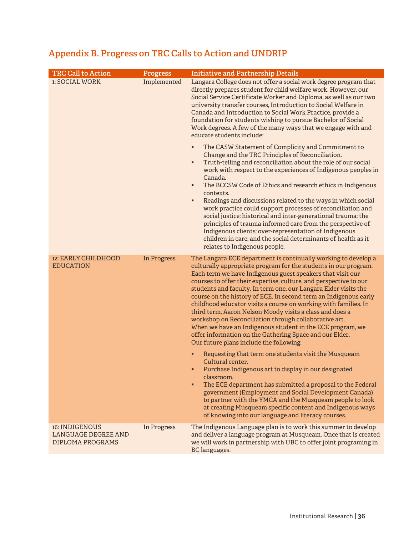| <b>TRC Call to Action</b>                                               | Progress    | <b>Initiative and Partnership Details</b>                                                                                                                                                                                                                                                                                                                                                                                                                                                                                                                                                                                                                                                                                                                                                                                                                                                                                                                                                                                                                                                                                                                                                                                                |
|-------------------------------------------------------------------------|-------------|------------------------------------------------------------------------------------------------------------------------------------------------------------------------------------------------------------------------------------------------------------------------------------------------------------------------------------------------------------------------------------------------------------------------------------------------------------------------------------------------------------------------------------------------------------------------------------------------------------------------------------------------------------------------------------------------------------------------------------------------------------------------------------------------------------------------------------------------------------------------------------------------------------------------------------------------------------------------------------------------------------------------------------------------------------------------------------------------------------------------------------------------------------------------------------------------------------------------------------------|
| <b>1: SOCIAL WORK</b>                                                   | Implemented | Langara College does not offer a social work degree program that<br>directly prepares student for child welfare work. However, our<br>Social Service Certificate Worker and Diploma, as well as our two<br>university transfer courses, Introduction to Social Welfare in<br>Canada and Introduction to Social Work Practice, provide a<br>foundation for students wishing to pursue Bachelor of Social<br>Work degrees. A few of the many ways that we engage with and<br>educate students include:                                                                                                                                                                                                                                                                                                                                                                                                                                                                                                                                                                                                                                                                                                                                     |
|                                                                         |             | The CASW Statement of Complicity and Commitment to<br>Change and the TRC Principles of Reconciliation.<br>Truth-telling and reconciliation about the role of our social<br>٠<br>work with respect to the experiences of Indigenous peoples in<br>Canada.<br>The BCCSW Code of Ethics and research ethics in Indigenous<br>$\blacksquare$<br>contexts.<br>Readings and discussions related to the ways in which social<br>٠<br>work practice could support processes of reconciliation and<br>social justice; historical and inter-generational trauma; the<br>principles of trauma informed care from the perspective of<br>Indigenous clients; over-representation of Indigenous<br>children in care; and the social determinants of health as it<br>relates to Indigenous people.                                                                                                                                                                                                                                                                                                                                                                                                                                                      |
| 12: EARLY CHILDHOOD<br><b>EDUCATION</b>                                 | In Progress | The Langara ECE department is continually working to develop a<br>culturally appropriate program for the students in our program.<br>Each term we have Indigenous guest speakers that visit our<br>courses to offer their expertise, culture, and perspective to our<br>students and faculty. In term one, our Langara Elder visits the<br>course on the history of ECE. In second term an Indigenous early<br>childhood educator visits a course on working with families. In<br>third term, Aaron Nelson Moody visits a class and does a<br>workshop on Reconciliation through collaborative art.<br>When we have an Indigenous student in the ECE program, we<br>offer information on the Gathering Space and our Elder.<br>Our future plans include the following:<br>Requesting that term one students visit the Musqueam<br>٠<br>Cultural center.<br>Purchase Indigenous art to display in our designated<br>classroom.<br>The ECE department has submitted a proposal to the Federal<br>п<br>government (Employment and Social Development Canada)<br>to partner with the YMCA and the Musqueam people to look<br>at creating Musqueam specific content and Indigenous ways<br>of knowing into our language and literacy courses. |
| 16: INDIGENOUS<br><b>LANGUAGE DEGREE AND</b><br><b>DIPLOMA PROGRAMS</b> | In Progress | The Indigenous Language plan is to work this summer to develop<br>and deliver a language program at Musqueam. Once that is created<br>we will work in partnership with UBC to offer joint programing in<br>BC languages.                                                                                                                                                                                                                                                                                                                                                                                                                                                                                                                                                                                                                                                                                                                                                                                                                                                                                                                                                                                                                 |

# **Appendix B. Progress on TRC Calls to Action and UNDRIP**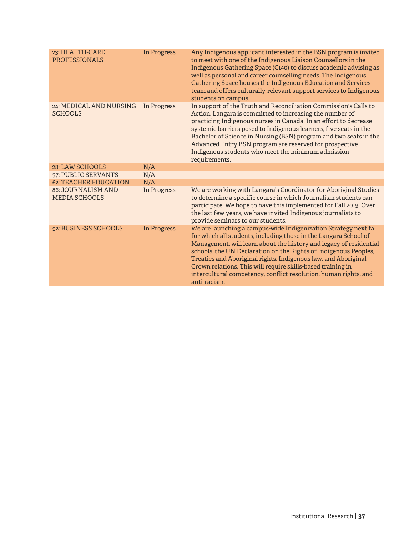| 23: HEALTH-CARE<br><b>PROFESSIONALS</b>    | <b>In Progress</b> | Any Indigenous applicant interested in the BSN program is invited<br>to meet with one of the Indigenous Liaison Counsellors in the<br>Indigenous Gathering Space (C140) to discuss academic advising as<br>well as personal and career counselling needs. The Indigenous<br>Gathering Space houses the Indigenous Education and Services<br>team and offers culturally-relevant support services to Indigenous<br>students on campus.                                                                |
|--------------------------------------------|--------------------|------------------------------------------------------------------------------------------------------------------------------------------------------------------------------------------------------------------------------------------------------------------------------------------------------------------------------------------------------------------------------------------------------------------------------------------------------------------------------------------------------|
| 24: MEDICAL AND NURSING<br><b>SCHOOLS</b>  | In Progress        | In support of the Truth and Reconciliation Commission's Calls to<br>Action, Langara is committed to increasing the number of<br>practicing Indigenous nurses in Canada. In an effort to decrease<br>systemic barriers posed to Indigenous learners, five seats in the<br>Bachelor of Science in Nursing (BSN) program and two seats in the<br>Advanced Entry BSN program are reserved for prospective<br>Indigenous students who meet the minimum admission<br>requirements.                         |
| 28: LAW SCHOOLS                            | N/A                |                                                                                                                                                                                                                                                                                                                                                                                                                                                                                                      |
| <b>57: PUBLIC SERVANTS</b>                 | N/A                |                                                                                                                                                                                                                                                                                                                                                                                                                                                                                                      |
| <b>62: TEACHER EDUCATION</b>               | N/A                |                                                                                                                                                                                                                                                                                                                                                                                                                                                                                                      |
| 86: JOURNALISM AND<br><b>MEDIA SCHOOLS</b> | In Progress        | We are working with Langara's Coordinator for Aboriginal Studies<br>to determine a specific course in which Journalism students can<br>participate. We hope to have this implemented for Fall 2019. Over<br>the last few years, we have invited Indigenous journalists to<br>provide seminars to our students.                                                                                                                                                                                       |
| 92: BUSINESS SCHOOLS                       | <b>In Progress</b> | We are launching a campus-wide Indigenization Strategy next fall<br>for which all students, including those in the Langara School of<br>Management, will learn about the history and legacy of residential<br>schools, the UN Declaration on the Rights of Indigenous Peoples,<br>Treaties and Aboriginal rights, Indigenous law, and Aboriginal-<br>Crown relations. This will require skills-based training in<br>intercultural competency, conflict resolution, human rights, and<br>anti-racism. |